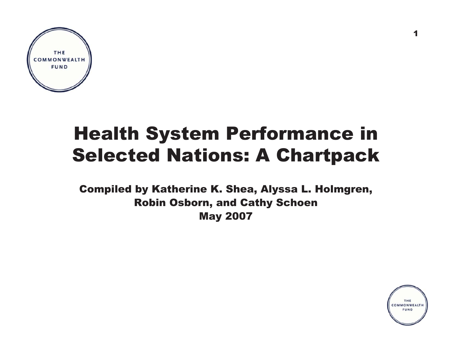

# Health System Performance in Selected Nations: A Chartpack

Compiled by Katherine K. Shea, Alyssa L. Holmgren, Robin Osborn, and Cathy Schoen May 2007



1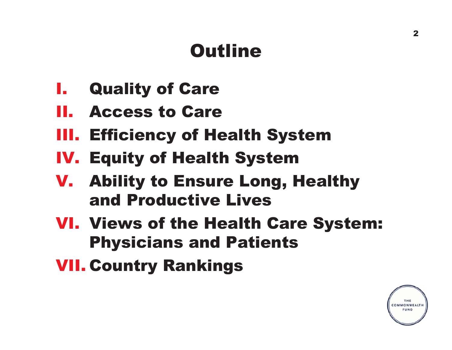# **Outline**

- **I.** Quality of Care
- II. Access to Care
- III. Efficiency of Health System
- IV. Equity of Health System
- V. Ability to Ensure Long, Healthy and Productive Lives
- VI. Views of the Health Care System: Physicians and Patients
- VII. Country Rankings

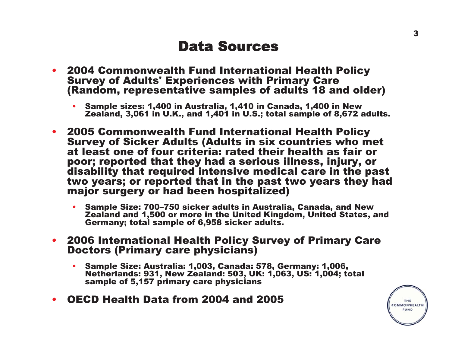## Data Sources

- 2004 Commonwealth Fund International Health Policy Survey of Adults' Experiences with Primary Care (Random, representative samples of adults 18 and older)
	- • Sample sizes: 1,400 in Australia, 1,410 in Canada, 1,400 in New Zealand, 3,061 in U.K., and 1,401 in U.S.; total sample of 8,672 adults.
- 2005 Commonwealth Fund International Health Policy Survey of Sicker Adults (Adults in six countries who met at least one of four criteria: rated their health as fair or poor; reported that they had a serious illness, injury, or disability that required intensive medical care in the past two years; or reported that in the past two years they had major surgery or had been hospitalized)
	- Sample Size: 700–750 sicker adults in Australia, Canada, and New Zealand and 1,500 or more in the United Kingdom, United States, and Germany; total sample of 6,958 sicker adults.
- 2006 International Health Policy Survey of Primary Care Doctors (Primary care physicians)
	- Sample Size: Australia: 1,003, Canada: 578, Germany: 1,006, Netherlands: 931, New Zealand: 503, UK: 1,063, US: 1,004; total sample of 5,157 primary care physicians
- •OECD Health Data from 2004 and 2005

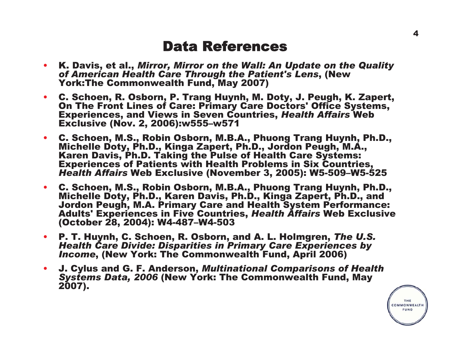### Data References

- K. Davis, et al., *Mirror, Mirror on the Wall: An Update on the Quality of American Health Care Through the Patient's Lens*, (New York:The Commonwealth Fund, May 2007)
- C. Schoen, R. Osborn, P. Trang Huynh, M. Doty, J. Peugh, K. Zapert, On The Front Lines of Care: Primary Care Doctors' Office Systems, Experiences, and Views in Seven Countries, *Health Affairs* Web Exclusive (Nov. 2, 2006):w555–w571
- C. Schoen, M.S., Robin Osborn, M.B.A., Phuong Trang Huynh, Ph.D., Michelle Doty, Ph.D., Kinga Zapert, Ph.D., Jordon Peugh, M.A., Karen Davis, Ph.D. Taking the Pulse of Health Care Systems: Experiences of Patients with Health Problems in Six Countries, *Health Affairs* Web Exclusive (November 3, 2005): W5-509–W5-525
- C. Schoen, M.S., Robin Osborn, M.B.A., Phuong Trang Huynh, Ph.D., Michelle Doty, Ph.D., Karen Davis, Ph.D., Kinga Zapert, Ph.D., and Jordon Peugh, M.A. Primary Care and Health System Performance: Adults' Experiences in Five Countries, *Health Affairs* Web Exclusive (October 28, 2004): W4-487–W4-503
- P. T. Huynh, C. Schoen, R. Osborn, and A. L. Holmgren, *The U.S. Health Care Divide: Disparities in Primary Care Experiences by Income*, (New York: The Commonwealth Fund, April 2006)
- • J. Cylus and G. F. Anderson, *Multinational Comparisons of Health Systems Data, 2006* (New York: The Commonwealth Fund, May 2007).

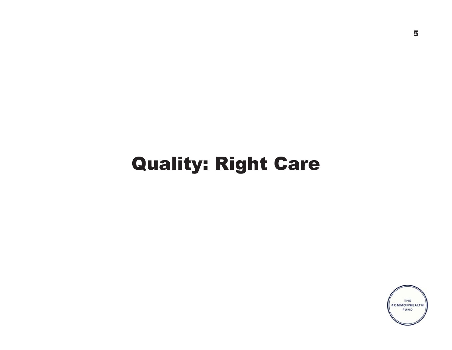# Quality: Right Care

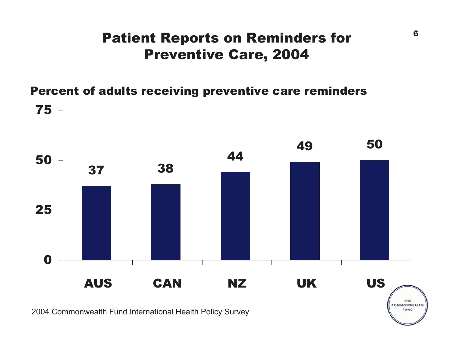## Patient Reports on Reminders for Preventive Care, 2004

Percent of adults receiving preventive care reminders



2004 Commonwealth Fund International Health Policy Survey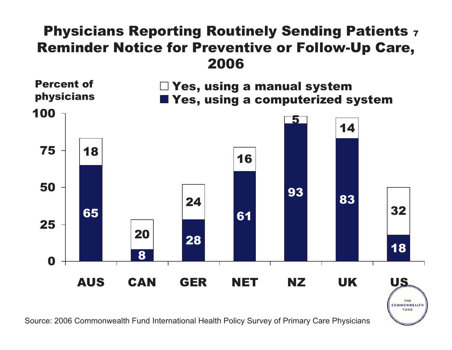## Physicians Reporting Routinely Sending Patients <sub>7</sub> Reminder Notice for Preventive or Follow-Up Care, 2006



COMMONWEALTH **FUND** 

Source: 2006 Commonwealth Fund International Health Policy Survey of Primary Care Physicians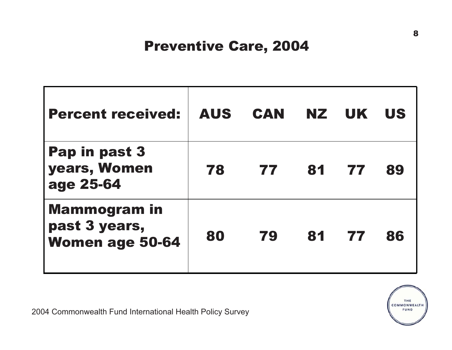## Preventive Care, 2004

| <b>Percent received:</b>                                       | <b>AUS</b> | CAN | NZ I  | <b>UK</b> | <b>US</b> |
|----------------------------------------------------------------|------------|-----|-------|-----------|-----------|
| Pap in past 3<br>years, Women<br>age 25-64                     | 78         | 77  | 81 77 |           | 89        |
| <b>Mammogram</b> in<br>past 3 years,<br><b>Women age 50-64</b> | 80         | 79  | 81    | 77        | 86        |



2004 Commonwealth Fund International Health Policy Survey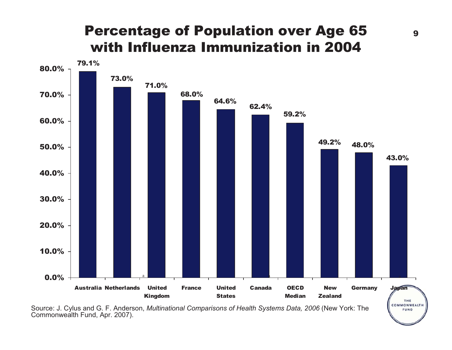## Percentage of Population over Age 65 with Influenza Immunization in 2004



Source: J. Cylus and G. F. Anderson, *Multinational Comparisons of Health Systems Data, 2006* (New York: The Commonwealth Fund, Apr. 2007).

FUND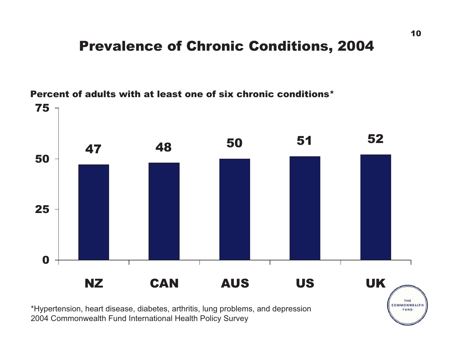## Prevalence of Chronic Conditions, 2004



Percent of adults with at least one of six chronic conditions\*

\*Hypertension, heart disease, diabetes, arthritis, lung problems, and depression 2004 Commonwealth Fund International Health Policy Survey

FUND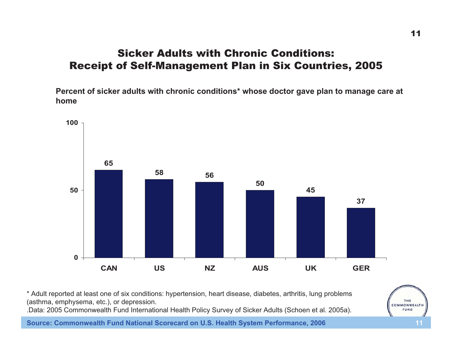#### Sicker Adults with Chronic Conditions:Receipt of Self-Management Plan in Six Countries, 2005

**Percent of sicker adults with chronic conditions\* whose doctor gave plan to manage care at home**



\* Adult reported at least one of six conditions: hypertension, heart disease, diabetes, arthritis, lung problems (asthma, emphysema, etc.), or depression.

.Data: 2005 Commonwealth Fund International Health Policy Survey of Sicker Adults (Schoen et al. 2005a).

**Source: Commonwealth Fund National Scorecard on U.S. Health System Performance, 2006 11**



THE COMMONWEALTH FUND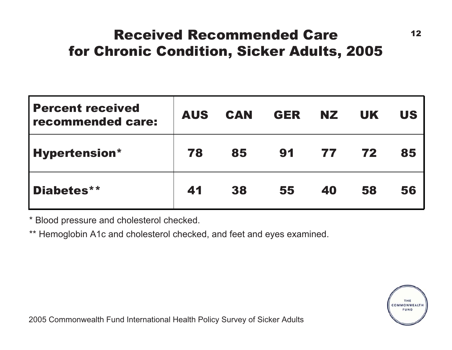## Received Recommended Care 12 for Chronic Condition, Sicker Adults, 2005

| <b>Percent received</b><br>recommended care: | <b>AUS</b> | <b>CAN</b> | <b>GER</b> | NZ. | <b>UK</b> | <b>US</b> |
|----------------------------------------------|------------|------------|------------|-----|-----------|-----------|
| <b>Hypertension*</b>                         | 78         | 85         | 91         | 77  | 72        | 85        |
| Diabetes**                                   | 41         | 38         | 55         | 40  | 58        | 56        |

\* Blood pressure and cholesterol checked.

\*\* Hemoglobin A1c and cholesterol checked, and feet and eyes examined.

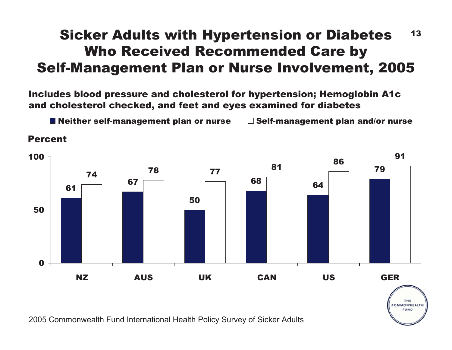## Sicker Adults with Hypertension or Diabetes 13 Who Received Recommended Care by Self-Management Plan or Nurse Involvement, 2005

Includes blood pressure and cholesterol for hypertension; Hemoglobin A1c and cholesterol checked, and feet and eyes examined for diabetes

**Neither self-management plan or nurse**  $\Box$  **Self-management plan and/or nurse** 

#### 61675068 6479 74 <sup>78</sup> <sup>77</sup> <sup>81</sup> <sup>86</sup> <sup>91</sup> 050100NZ AUS UK CAN US GER

THE COMMONWEALTH **FUND** 

2005 Commonwealth Fund International Health Policy Survey of Sicker Adults

Percent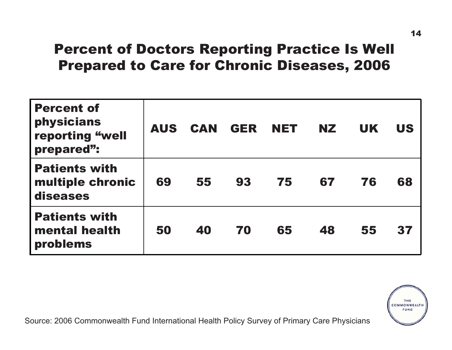## Percent of Doctors Reporting Practice Is Well Prepared to Care for Chronic Diseases, 2006

| <b>Percent of</b><br>physicians<br>reporting "well<br>prepared": | <b>AUS</b> | <b>CAN</b> | <b>GER</b> | <b>NET</b> | NZ. | <b>UK</b> | <b>US</b> |
|------------------------------------------------------------------|------------|------------|------------|------------|-----|-----------|-----------|
| <b>Patients with</b><br>multiple chronic<br>diseases             | 69         | 55         | 93         | 75         | 67  | 76        | 68        |
| <b>Patients with</b><br>mental health<br>problems                | 50         | 40         | 70         | 65         | 48  | 55        | 37        |

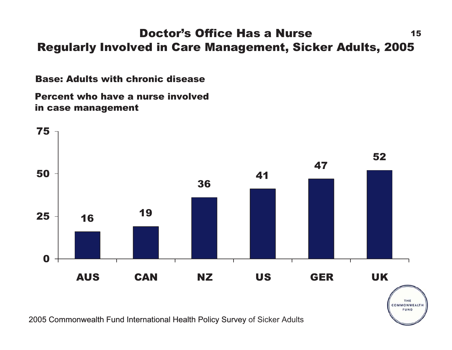#### Doctor's Office Has a Nursee 15 Regularly Involved in Care Management, Sicker Adults, 2005

Base: Adults with chronic disease

Percent who have a nurse involved in case management

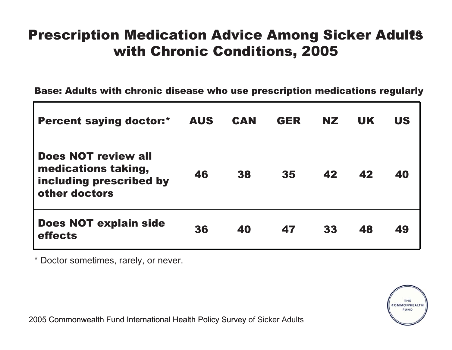## **Prescription Medication Advice Among Sicker Adults** with Chronic Conditions, 2005

Base: Adults with chronic disease who use prescription medications regularly

| <b>Percent saying doctor:*</b>                                                                | <b>AUS</b> | <b>CAN</b> | <b>GER</b> | <b>NZ</b> | <b>UK</b> | <b>US</b> |
|-----------------------------------------------------------------------------------------------|------------|------------|------------|-----------|-----------|-----------|
| <b>Does NOT review all</b><br>medications taking,<br>including prescribed by<br>other doctors | 46         | 38         | 35         | 42        | 42        | 40        |
| <b>Does NOT explain side</b><br>effects                                                       | 36         | 40         | 47         | 33        | 48        | 49        |

\* Doctor sometimes, rarely, or never.

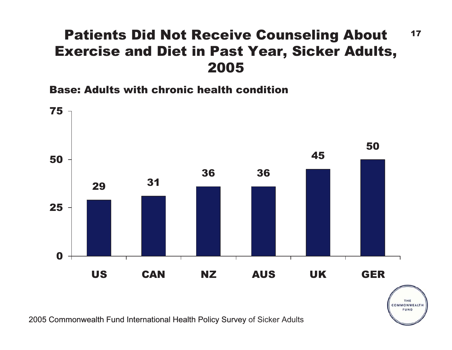## Patients Did Not Receive Counseling About 17 Exercise and Diet in Past Year, Sicker Adults, 2005

Base: Adults with chronic health condition



THE COMMONWEALTH FUND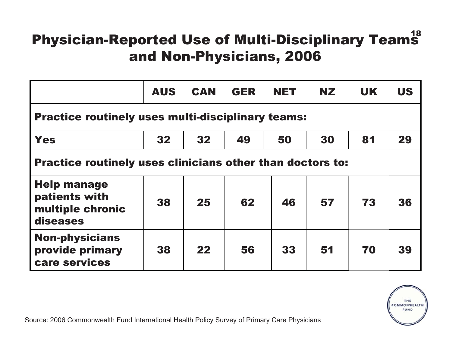# Physician-Reported Use of Multi-Disciplinary Team $^{18}_{\phantom{1}\textbf{5}}$ and Non-Physicians, 2006

|                                                                     | <b>AUS</b> | <b>CAN</b> | <b>GER</b> | <b>NET</b> | <b>NZ</b> | <b>UK</b> | <b>US</b> |  |  |  |
|---------------------------------------------------------------------|------------|------------|------------|------------|-----------|-----------|-----------|--|--|--|
| <b>Practice routinely uses multi-disciplinary teams:</b>            |            |            |            |            |           |           |           |  |  |  |
| <b>Yes</b>                                                          | 32         | 32         | 49         | 50         | 30        | 81        | 29        |  |  |  |
| <b>Practice routinely uses clinicians other than doctors to:</b>    |            |            |            |            |           |           |           |  |  |  |
| <b>Help manage</b><br>patients with<br>multiple chronic<br>diseases | 38         | 25         | 62         | 46         | 57        | 73        | 36        |  |  |  |
| <b>Non-physicians</b><br>provide primary<br>care services           | 38         | 22         | 56         | 33         | 51        | 70        | 39        |  |  |  |



Source: 2006 Commonwealth Fund International Health Policy Survey of Primary Care Physicians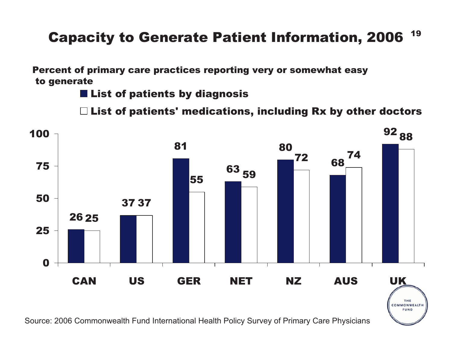## Capacity to Generate Patient Information, 2006  $^{\,19}$

Percent of primary care practices reporting very or somewhat easy to generate

**E** List of patients by diagnosis

 $\Box$  List of patients' medications, including Rx by other doctors



Source: 2006 Commonwealth Fund International Health Policy Survey of Primary Care Physicians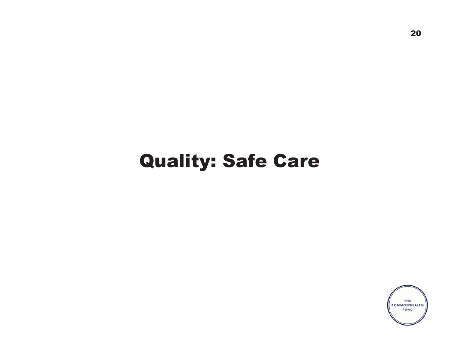# Quality: Safe Care

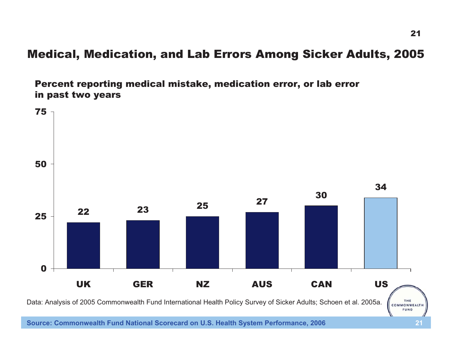### Medical, Medication, and Lab Errors Among Sicker Adults, 2005

Percent reporting medical mistake, medication error, or lab error in past two years



**Source: Commonwealth Fund National Scorecard on U.S. Health System Performance, 2006 21**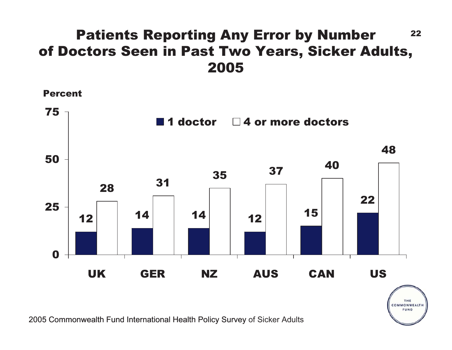## Patients Reporting Any Error by Number 22 of Doctors Seen in Past Two Years, Sicker Adults, 2005

Percent



THE COMMONWEALTH **FUND**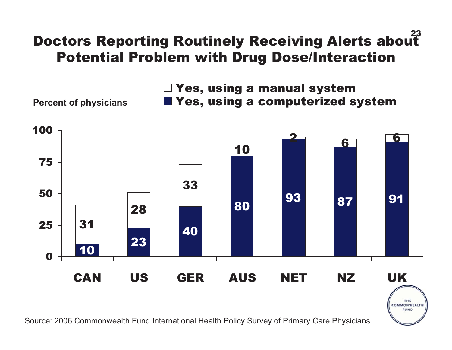# 23 Doctors Reporting Routinely Receiving Alerts about Potential Problem with Drug Dose/Interaction

Yes, using a manual system Percent of physicians **No. 2.5 Mages.** Yes, using a computerized system

> THE COMMONWEALTH FUND



Source: 2006 Commonwealth Fund International Health Policy Survey of Primary Care Physicians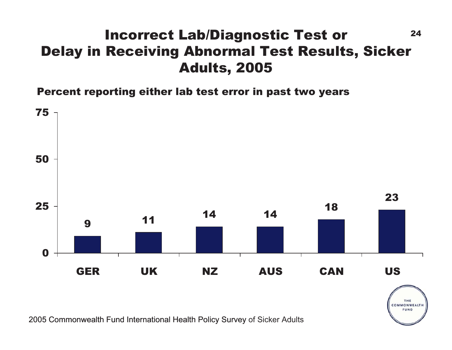### 24 Incorrect Lab/Diagnostic Test or Delay in Receiving Abnormal Test Results, Sicker Adults, 2005

Percent reporting either lab test error in past two years



THE COMMONWEALTH FUND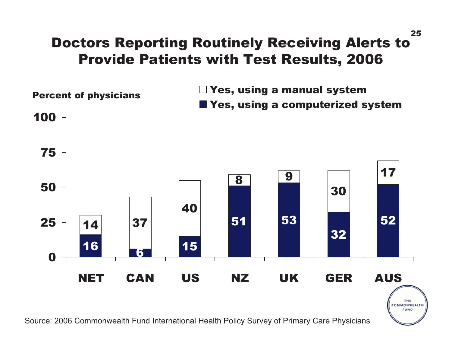### Doctors Reporting Routinely Receiving Alerts to Provide Patients with Test Results, 2006



Source: 2006 Commonwealth Fund International Health Policy Survey of Primary Care Physicians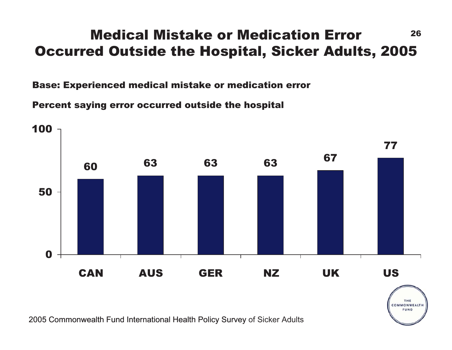## Medical Mistake or Medication Error <sup>26</sup> Occurred Outside the Hospital, Sicker Adults, 2005

Base: Experienced medical mistake or medication error

Percent saying error occurred outside the hospital

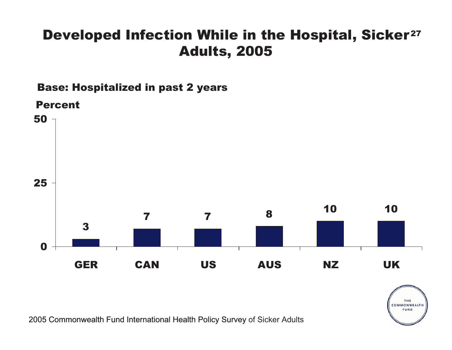## Developed Infection While in the Hospital, Sicker<sup>27</sup> Adults, 2005

Base: Hospitalized in past 2 years



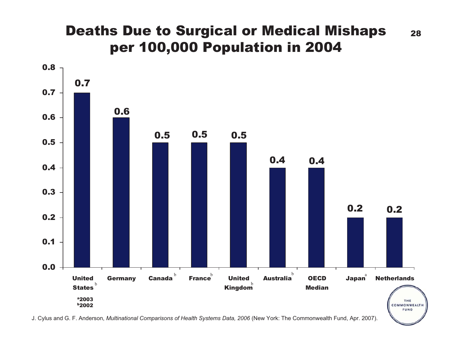## **Deaths Due to Surgical or Medical Mishaps** 28 per 100,000 Population in 2004



J. Cylus and G. F. Anderson, *Multinational Comparisons of Health Systems Data, 2006* (New York: The Commonwealth Fund, Apr. 2007).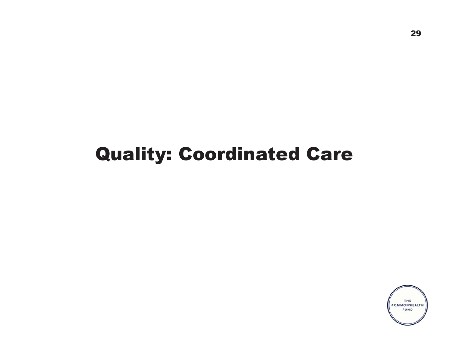# Quality: Coordinated Care

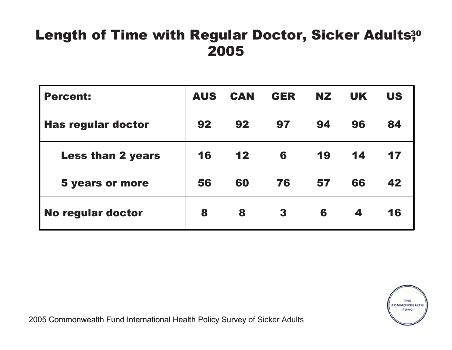## Length of Time with Regular Doctor, Sicker Adults<sup>30</sup> 2005

| <b>Percent:</b>           | <b>AUS</b> | <b>CAN</b> | <b>GER</b> | NZ. | <b>UK</b> | <b>US</b> |
|---------------------------|------------|------------|------------|-----|-----------|-----------|
| <b>Has regular doctor</b> | 92         | 92         | 97         | 94  | 96        | 84        |
| <b>Less than 2 years</b>  | 16         | 12         | 6          | 19  | 14        | 17        |
| <b>5 years or more</b>    | 56         | 60         | 76         | 57  | 66        | 42        |
| No regular doctor         | 8          | 8          | 3          | 6   | 4         | 16        |

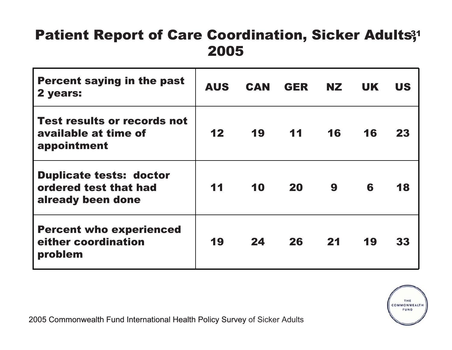## Patient Report of Care Coordination, Sicker Adults;<sup>1</sup> 2005

| <b>Percent saying in the past</b><br>2 years:                                | <b>AUS</b> | <b>CAN</b> | <b>GER</b> | NZ. | <b>UK</b> | US |
|------------------------------------------------------------------------------|------------|------------|------------|-----|-----------|----|
| <b>Test results or records not</b><br>available at time of<br>appointment    | 12         | 19         | 11         | 16  | 16        | 23 |
| <b>Duplicate tests: doctor</b><br>ordered test that had<br>already been done | 11         | 10         | 20         | 9   | 6         | 18 |
| <b>Percent who experienced</b><br>either coordination<br>problem             | 19         | 24         | 26         | 21  | 19        | 33 |

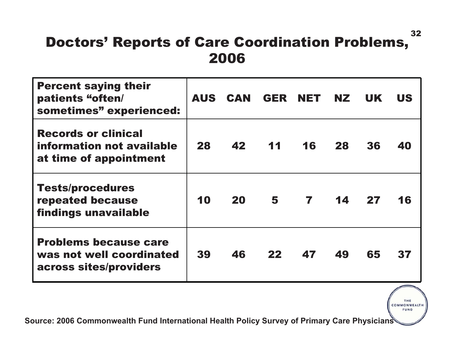## Doctors' Reports of Care Coordination Problems, 2006

| <b>Percent saying their</b><br>patients "often/<br>sometimes" experienced:         |    | AUS CAN GER NET NZ |                |                |    | UK. | <b>US</b> |
|------------------------------------------------------------------------------------|----|--------------------|----------------|----------------|----|-----|-----------|
| <b>Records or clinical</b><br>information not available<br>at time of appointment  | 28 | 42                 | 11             | 16             | 28 | 36  | 40        |
| <b>Tests/procedures</b><br>repeated because<br>findings unavailable                | 10 | 20                 | 5 <sub>5</sub> | $\overline{7}$ | 14 | 27  | 16        |
| <b>Problems because care</b><br>was not well coordinated<br>across sites/providers | 39 | 46                 | 22             | 47             | 49 | 65  | 37        |

**Source: 2006 Commonwealth Fund International Health Policy Survey of Primary Care Physicians**

THE THE COMMONWEALTH FUND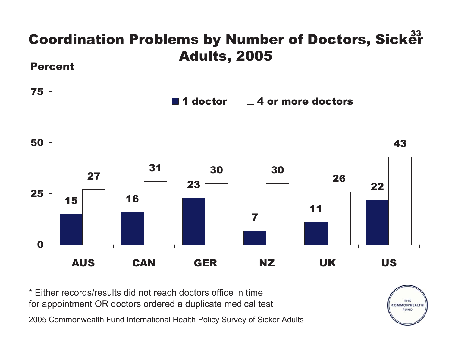# Coordination Problems by Number of Doctors, Sick $\mathring{\mathbf{e}}^{\text{33}}$ Adults, 2005 Percent





\* Either records/results did not reach doctors office in timefor appointment OR doctors ordered a duplicate medical test

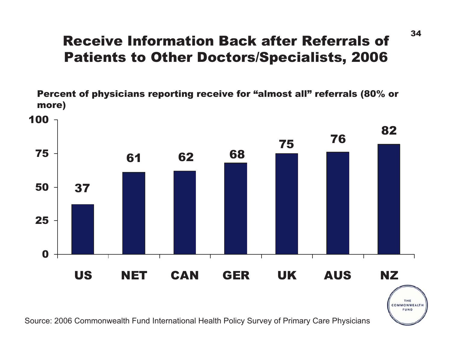## Receive Information Back after Referrals of Patients to Other Doctors/Specialists, 2006

Percent of physicians reporting receive for "almost all" referrals (80% or more)



Source: 2006 Commonwealth Fund International Health Policy Survey of Primary Care Physicians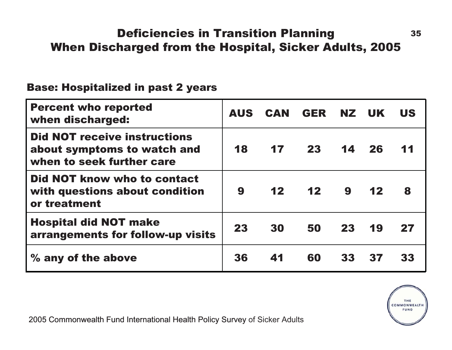### **Deficiencies in Transition Planning 35** When Discharged from the Hospital, Sicker Adults, 2005

#### Base: Hospitalized in past 2 years

| <b>Percent who reported</b><br>when discharged:                                                 | <b>AUS</b> |    | CAN GER NZ UK |    |                 | <b>US</b> |
|-------------------------------------------------------------------------------------------------|------------|----|---------------|----|-----------------|-----------|
| <b>Did NOT receive instructions</b><br>about symptoms to watch and<br>when to seek further care | 18         |    | 17 23         | 14 | 26              | 11        |
| Did NOT know who to contact<br>with questions about condition<br>or treatment                   | 9          |    | 12 12         | 9  | 12 <sub>2</sub> | 8         |
| <b>Hospital did NOT make</b><br>arrangements for follow-up visits                               | 23         | 30 | 50            | 23 | 19              | 27        |
| % any of the above                                                                              | 36         | 41 | 60            | 33 | 37              | 33        |

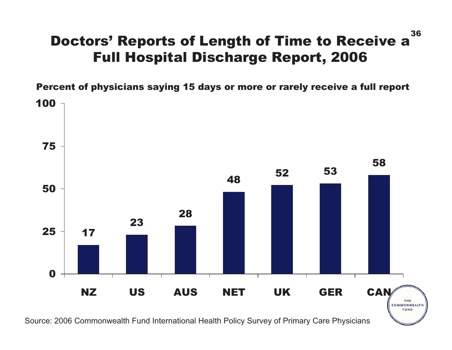#### Doctors' Reports of Length of Time to Receive a Full Hospital Discharge Report, 2006

Percent of physicians saying 15 days or more or rarely receive a full report



Source: 2006 Commonwealth Fund International Health Policy Survey of Primary Care Physicians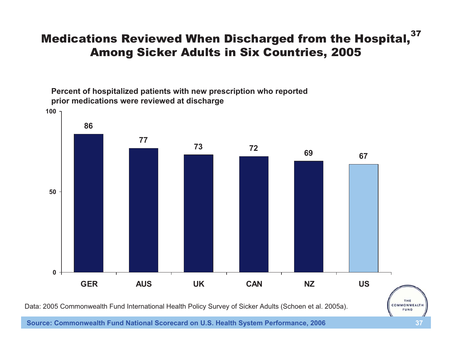#### Medications Reviewed When Discharged from the Hospital,<sup>37</sup> Among Sicker Adults in Six Countries, 2005

**Percent of hospitalized patients with new prescription who reported prior medications were reviewed at discharge** 



Data: 2005 Commonwealth Fund International Health Policy Survey of Sicker Adults (Schoen et al. 2005a).

**Source: Commonwealth Fund National Scorecard on U.S. Health System Performance, 2006 37**

COMMONWEALTH FUND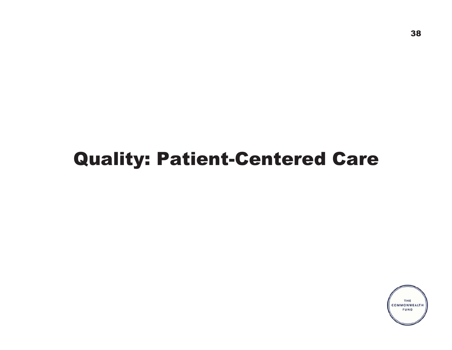# Quality: Patient-Centered Care

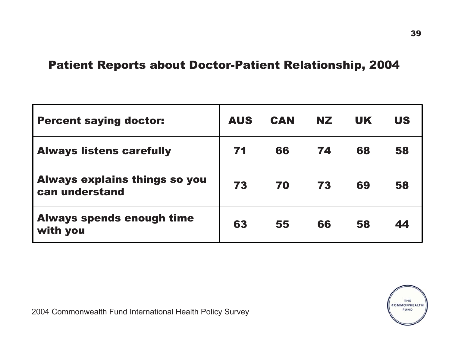#### Patient Reports about Doctor-Patient Relationship, 2004

| <b>Percent saying doctor:</b>                          | <b>AUS</b> | <b>CAN</b> | NZ. | <b>UK</b> | <b>US</b> |
|--------------------------------------------------------|------------|------------|-----|-----------|-----------|
| <b>Always listens carefully</b>                        | 71         | 66         | 74  | 68        | 58        |
| <b>Always explains things so you</b><br>can understand | 73         | 70         | 73  | 69        | 58        |
| <b>Always spends enough time</b><br>with you           | 63         | 55         | 66  | 58        | 44        |

2004 Commonwealth Fund International Health Policy Survey

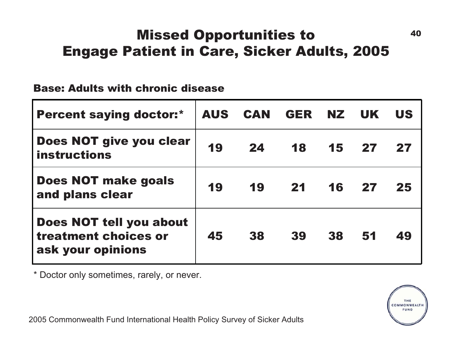## Missed Opportunities to 40 Engage Patient in Care, Sicker Adults, 2005

#### Base: Adults with chronic disease

| <b>Percent saying doctor:*</b>                                       |    | AUS CAN | GER | NZ. | <b>UK</b> | <b>US</b> |
|----------------------------------------------------------------------|----|---------|-----|-----|-----------|-----------|
| Does NOT give you clear<br><b>instructions</b>                       | 19 | 24      | 18  | 15  | 27        | 27        |
| <b>Does NOT make goals</b><br>and plans clear                        | 19 | 19      | 21  | 16  | 27        | 25        |
| Does NOT tell you about<br>treatment choices or<br>ask your opinions | 45 | 38      | 39  | 38  | 51        | 49        |

\* Doctor only sometimes, rarely, or never.

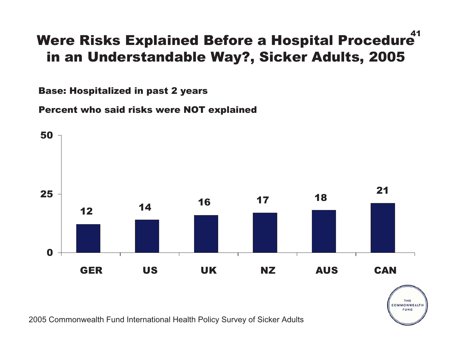#### 41Were Risks Explained Before a Hospital Procedure in an Understandable Way?, Sicker Adults, 2005

Base: Hospitalized in past 2 years

Percent who said risks were NOT explained



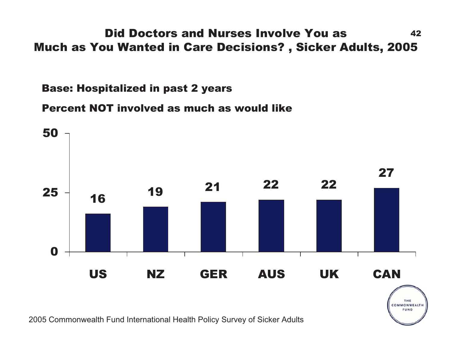#### Did Doctors and Nurses Involve You as 42 Much as You Wanted in Care Decisions? , Sicker Adults, 2005

Base: Hospitalized in past 2 years

Percent NOT involved as much as would like



FUND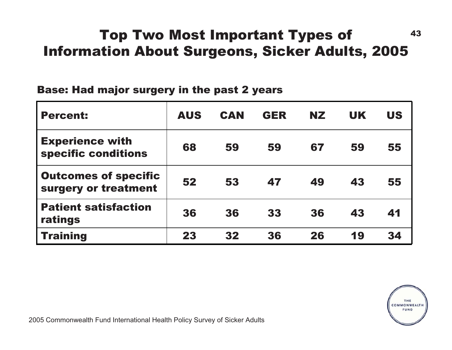## Top Two Most Important Types of 43 Information About Surgeons, Sicker Adults, 2005

#### Base: Had major surgery in the past 2 years

| <b>Percent:</b>                                     | <b>AUS</b> | <b>CAN</b> | <b>GER</b> | NZ. | <b>UK</b> | <b>US</b> |
|-----------------------------------------------------|------------|------------|------------|-----|-----------|-----------|
| <b>Experience with</b><br>specific conditions       | 68         | 59         | 59         | 67  | 59        | 55        |
| <b>Outcomes of specific</b><br>surgery or treatment | 52         | 53         | 47         | 49  | 43        | 55        |
| <b>Patient satisfaction</b><br>ratings              | 36         | 36         | 33         | 36  | 43        | 41        |
| <b>Training</b>                                     | 23         | 32         | 36         | 26  | 19        | 34        |

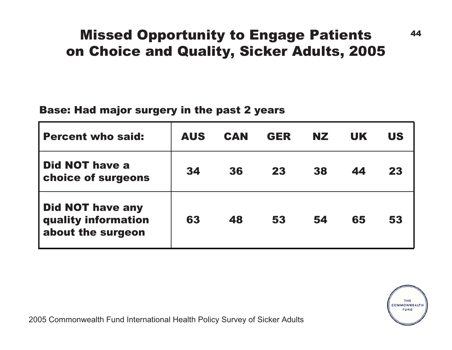### **Missed Opportunity to Engage Patients** 44 on Choice and Quality, Sicker Adults, 2005

#### Base: Had major surgery in the past 2 years

| <b>Percent who said:</b>                                            | <b>AUS</b> | <b>CAN</b> | <b>GER</b> | <b>NZ</b> | <b>UK</b> | <b>US</b> |
|---------------------------------------------------------------------|------------|------------|------------|-----------|-----------|-----------|
| <b>Did NOT have a</b><br>choice of surgeons                         | 34         | 36         | 23         | 38        | 44        | 23        |
| <b>Did NOT have any</b><br>quality information<br>about the surgeon | 63         | 48         | 53         | 54        | 65        | 53        |

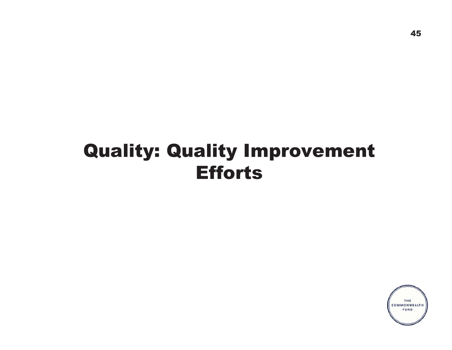# Quality: Quality Improvement Efforts

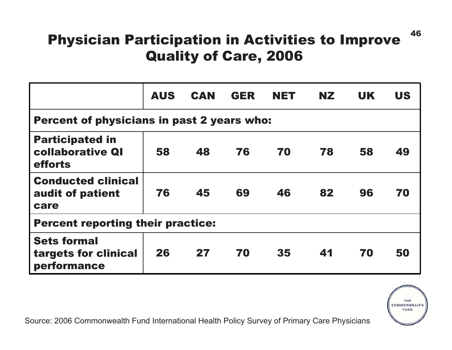## Physician Participation in Activities to Improve Quality of Care, 2006

|                                                              | <b>AUS</b> | <b>CAN</b> | <b>GER</b> | <b>NET</b> | NZ. | <b>UK</b> | <b>US</b> |  |  |  |
|--------------------------------------------------------------|------------|------------|------------|------------|-----|-----------|-----------|--|--|--|
| <b>Percent of physicians in past 2 years who:</b>            |            |            |            |            |     |           |           |  |  |  |
| <b>Participated in</b><br><b>collaborative QI</b><br>efforts | 58         | 48         | 76         | 70         | 78  | 58        | 49        |  |  |  |
| <b>Conducted clinical</b><br>audit of patient<br>care        | 76         | 45         | 69         | 46         | 82  | 96        | 70        |  |  |  |
| <b>Percent reporting their practice:</b>                     |            |            |            |            |     |           |           |  |  |  |
| <b>Sets formal</b><br>targets for clinical<br>performance    | 26         | 27         | 70         | 35         | 41  | 70        | 50        |  |  |  |



Source: 2006 Commonwealth Fund International Health Policy Survey of Primary Care Physicians

46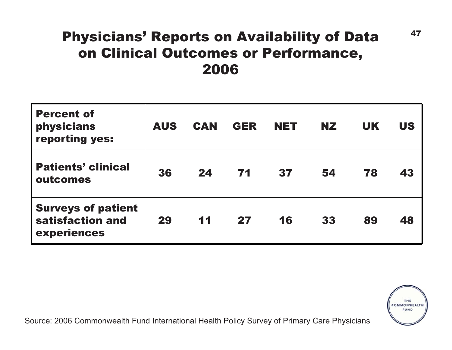### Physicians' Reports on Availability of Data  $47$ on Clinical Outcomes or Performance, 2006

| <b>Percent of</b><br>physicians<br>reporting yes:            | <b>AUS</b> | <b>CAN</b> | <b>GER</b> | <b>NET</b> | <b>NZ</b> | <b>UK</b> | <b>US</b> |
|--------------------------------------------------------------|------------|------------|------------|------------|-----------|-----------|-----------|
| <b>Patients' clinical</b><br>outcomes                        | 36         | 24         | 71         | 37         | 54        | 78        | 43        |
| <b>Surveys of patient</b><br>satisfaction and<br>experiences | 29         | 11         | 27         | 16         | 33        | 89        | 48        |



Source: 2006 Commonwealth Fund International Health Policy Survey of Primary Care Physicians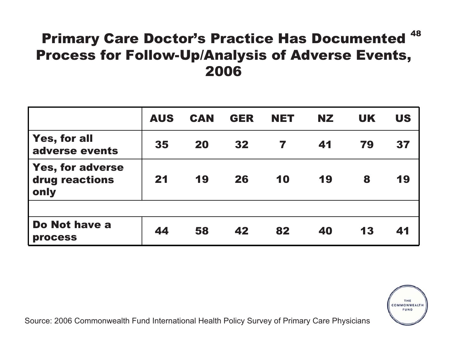## Primary Care Doctor's Practice Has Documented  $^{\rm 48}$ Process for Follow-Up/Analysis of Adverse Events, 2006

|                                                   | <b>AUS</b> | <b>CAN</b> | <b>GER</b> | <b>NET</b> | <b>NZ</b> | <b>UK</b> | <b>US</b> |
|---------------------------------------------------|------------|------------|------------|------------|-----------|-----------|-----------|
| <b>Yes, for all</b><br>adverse events             | 35         | 20         | 32         |            | 41        | 79        | 37        |
| <b>Yes, for adverse</b><br>drug reactions<br>only | 21         | 19         | 26         | 10         | 19        | 8         | 19        |
|                                                   |            |            |            |            |           |           |           |
| Do Not have a<br><b>process</b>                   | 44         | 58         | 42         | 82         | 40        | 13        | 41        |



Source: 2006 Commonwealth Fund International Health Policy Survey of Primary Care Physicians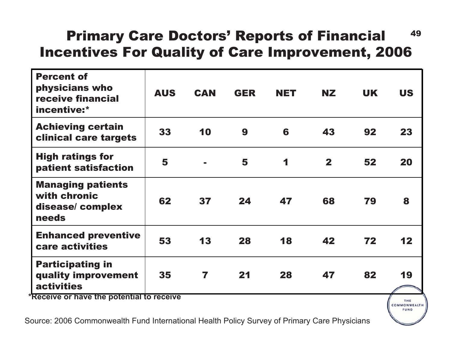## Primary Care Doctors' Reports of Financial 49 Incentives For Quality of Care Improvement, 2006

| <b>Percent of</b><br>physicians who<br>receive financial<br>incentive:* | <b>AUS</b> | <b>CAN</b> | <b>GER</b> | <b>NET</b> | <b>NZ</b>    | <b>UK</b> | <b>US</b> |
|-------------------------------------------------------------------------|------------|------------|------------|------------|--------------|-----------|-----------|
| <b>Achieving certain</b><br>clinical care targets                       | 33         | 10         | 9          | 6          | 43           | 92        | 23        |
| <b>High ratings for</b><br>patient satisfaction                         | 5          | ÷          | 5          | 1          | $\mathbf{2}$ | 52        | 20        |
| <b>Managing patients</b><br>with chronic<br>disease/complex<br>needs    | 62         | 37         | 24         | 47         | 68           | 79        | 8         |
| <b>Enhanced preventive</b><br>care activities                           | 53         | 13         | 28         | 18         | 42           | 72        | 12        |
| <b>Participating in</b><br>quality improvement<br><b>activities</b>     | 35         | 7          | 21         | 28         | 47           | 82        | 19        |
| *Receive or have the potential to receive                               |            |            |            |            |              |           | THE       |

**FUND**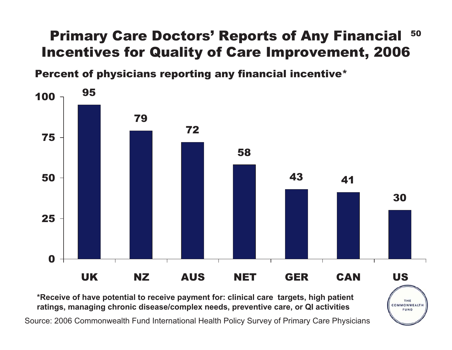#### 50 Primary Care Doctors' Reports of Any Financial Incentives for Quality of Care Improvement, 2006

Percent of physicians reporting any financial incentive\*



THE COMMONWEALTH FUND

**\*Receive of have potential to receive payment for: clinical care targets, high patient ratings, managing chronic disease/complex needs, preventive care, or QI activities**

Source: 2006 Commonwealth Fund International Health Policy Survey of Primary Care Physicians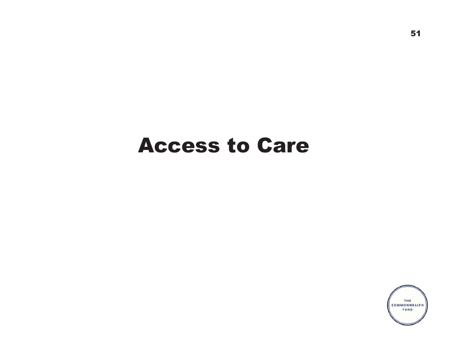# Access to Care

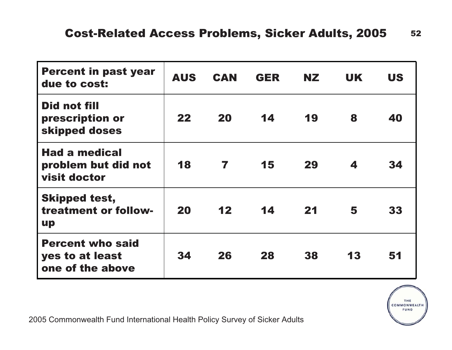| <b>Percent in past year</b><br>due to cost:                    | <b>AUS</b> | <b>CAN</b> | <b>GER</b> | NZ. | <b>UK</b> | <b>US</b> |
|----------------------------------------------------------------|------------|------------|------------|-----|-----------|-----------|
| <b>Did not fill</b><br>prescription or<br>skipped doses        | 22         | <b>20</b>  | 14         | 19  | 8         | 40        |
| <b>Had a medical</b><br>problem but did not<br>visit doctor    | 18         | 7          | 15         | 29  | 4         | 34        |
| <b>Skipped test,</b><br>treatment or follow-<br><b>up</b>      | 20         | 12         | 14         | 21  | 5         | 33        |
| <b>Percent who said</b><br>yes to at least<br>one of the above | 34         | 26         | 28         | 38  | 13        | 51        |

THE THE COMMONWEALTH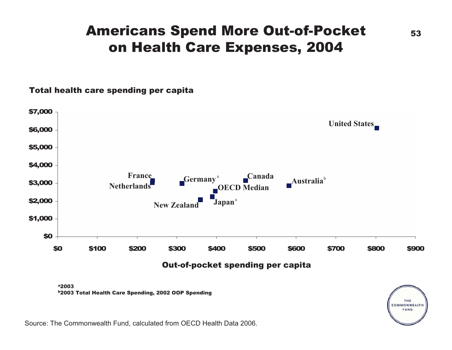#### Americans Spend More Out-of-Pocket 53 on Health Care Expenses, 2004

#### Total health care spending per capita

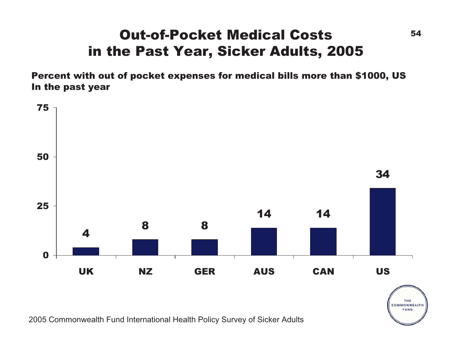### **Out-of-Pocket Medical Costs** 54 in the Past Year, Sicker Adults, 2005

Percent with out of pocket expenses for medical bills more than \$1000, US In the past year



2005 Commonwealth Fund International Health Policy Survey of Sicker Adults

THE COMMONWEALTH FUND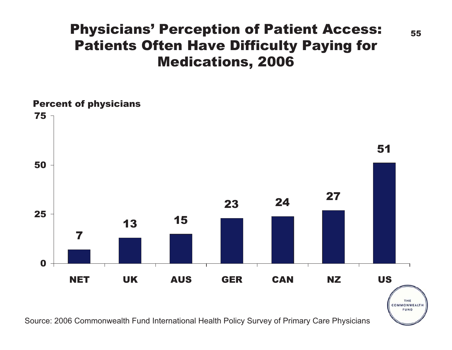#### Physicians' Perception of Patient Access: Patients Often Have Difficulty Paying for Medications, 2006



55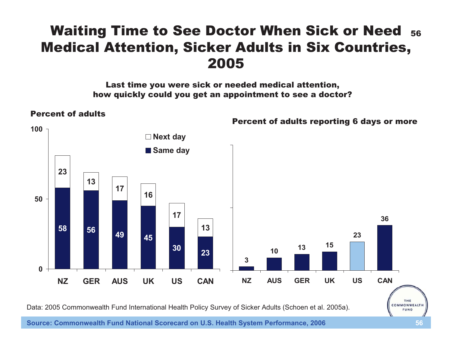#### Waiting Time to See Doctor When Sick or Need  $_{\bf 56}$ Medical Attention, Sicker Adults in Six Countries, 2005

Last time you were sick or needed medical attention, how quickly could you get an appointment to see a doctor?



Data: 2005 Commonwealth Fund International Health Policy Survey of Sicker Adults (Schoen et al. 2005a).

**Source: Commonwealth Fund National Scorecard on U.S. Health System Performance, 2006 56**

FUND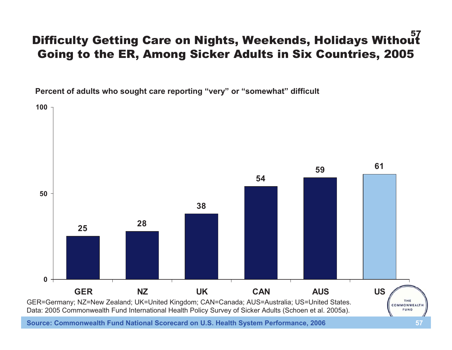#### 57 Difficulty Getting Care on Nights, Weekends, Holidays Without Going to the ER, Among Sicker Adults in Six Countries, 2005

**Percent of adults who sought care reporting "very" or "somewhat" difficult**

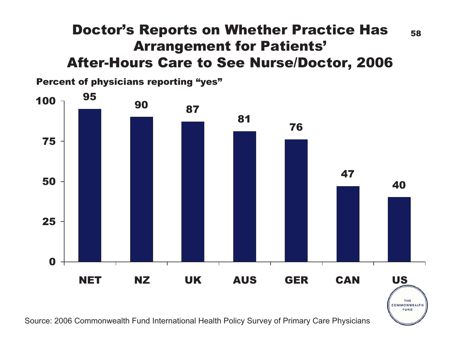### Doctor's Reports on Whether Practice Has  $_{58}$ Arrangement for Patients' After-Hours Care to See Nurse/Doctor, 2006

Percent of physicians reporting "yes"



Source: 2006 Commonwealth Fund International Health Policy Survey of Primary Care Physicians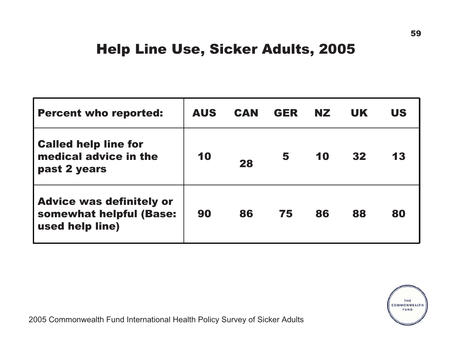#### Help Line Use, Sicker Adults, 2005

| <b>Percent who reported:</b>                                                  | <b>AUS</b> | <b>CAN</b> | <b>GER</b> | NZ. | <b>UK</b> | <b>US</b> |
|-------------------------------------------------------------------------------|------------|------------|------------|-----|-----------|-----------|
| <b>Called help line for</b><br>medical advice in the<br>past 2 years          | 10         | 28         | 5          | 10  | 32        | 13        |
| <b>Advice was definitely or</b><br>somewhat helpful (Base:<br>used help line) | 90         | 86         | 75         | 86  | 88        | 80        |

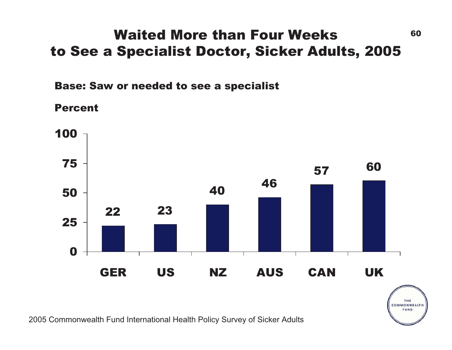### Waited More than Four Weeks  $60$ to See a Specialist Doctor, Sicker Adults, 2005

Base: Saw or needed to see a specialist

Percent



THE COMMONWEALTH FUND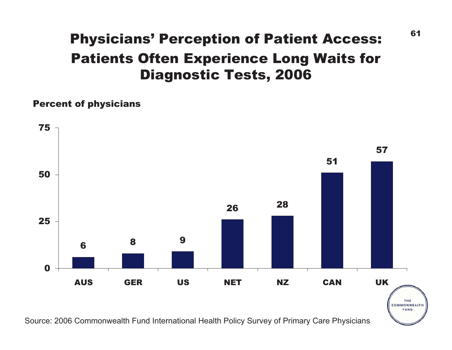# Patients Often Experience Long Waits for Diagnostic Tests, 2006 Physicians' Perception of Patient Access:

#### Percent of physicians



Source: 2006 Commonwealth Fund International Health Policy Survey of Primary Care Physicians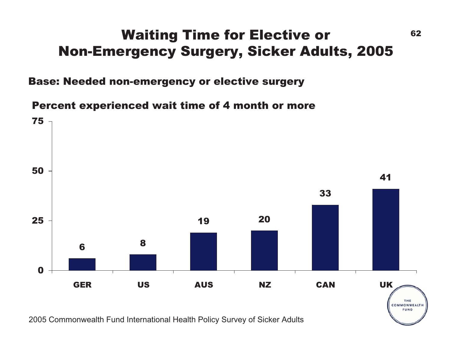### Waiting Time for Elective or 62 Non-Emergency Surgery, Sicker Adults, 2005

Base: Needed non-emergency or elective surgery

Percent experienced wait time of 4 month or more

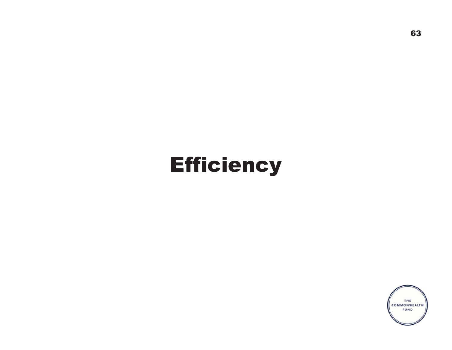# **Efficiency**

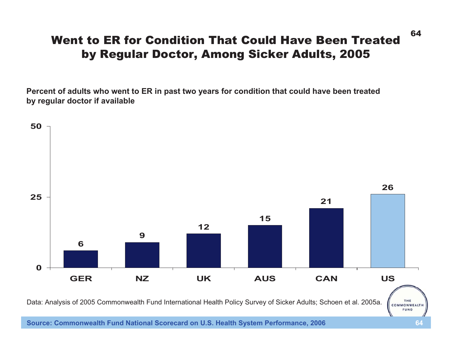#### Went to ER for Condition That Could Have Been Treatedby Regular Doctor, Among Sicker Adults, 2005

**Percent of adults who went to ER in past two years for condition that could have been treated by regular doctor if available**



**Source: Commonwealth Fund National Scorecard on U.S. Health System Performance, 2006 64**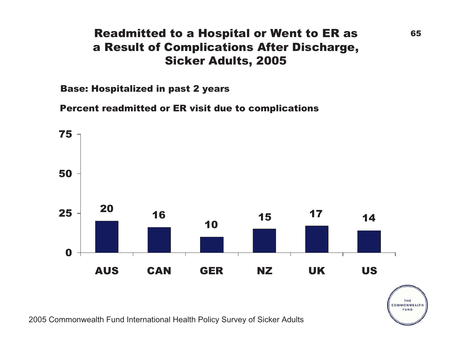#### Readmitted to a Hospital or Went to ER as 65 a Result of Complications After Discharge, Sicker Adults, 2005

Base: Hospitalized in past 2 years

Percent readmitted or ER visit due to complications



THE COMMONWEALTH FUND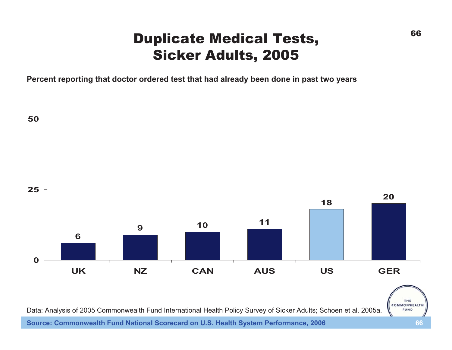### Duplicate Medical Tests, Sicker Adults, 2005

**Percent reporting that doctor ordered test that had already been done in past two years**



**Source: Commonwealth Fund National Scorecard on U.S. Health System Performance, 2006 66**

66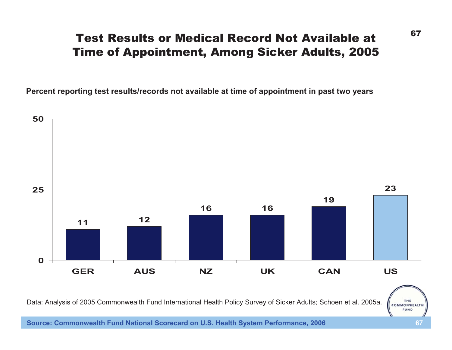#### Test Results or Medical Record Not Available atTime of Appointment, Among Sicker Adults, 2005

**Percent reporting test results/records not available at time of appointment in past two years**



Data: Analysis of 2005 Commonwealth Fund International Health Policy Survey of Sicker Adults; Schoen et al. 2005a.

67

THE COMMONWEALTH **FUND** 

**Source: Commonwealth Fund National Scorecard on U.S. Health System Performance, 2006 67**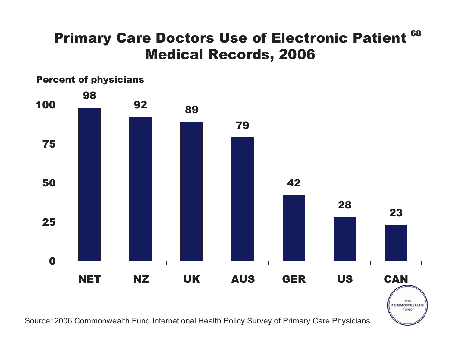## Primary Care Doctors Use of Electronic Patient  $^{\rm 68}$ Medical Records, 2006



Source: 2006 Commonwealth Fund International Health Policy Survey of Primary Care Physicians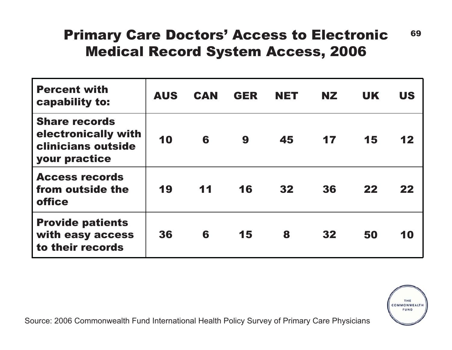### Primary Care Doctors' Access to Electronic 69 Medical Record System Access, 2006

| <b>Percent with</b><br>capability to:                                                     | <b>AUS</b> | <b>CAN</b> | <b>GER</b> | <b>NET</b> | <b>NZ</b> | <b>UK</b> | <b>US</b>     |
|-------------------------------------------------------------------------------------------|------------|------------|------------|------------|-----------|-----------|---------------|
| <b>Share records</b><br>electronically with<br>clinicians outside<br><b>your practice</b> | 10         | 6          | 9          | 45         | 17        | 15        | $\mathbf{12}$ |
| <b>Access records</b><br>from outside the<br><b>office</b>                                | 19         | 11         | 16         | 32         | 36        | 22        | 22            |
| <b>Provide patients</b><br>with easy access<br>to their records                           | 36         | 6          | 15         | 8          | 32        | 50        | 10            |

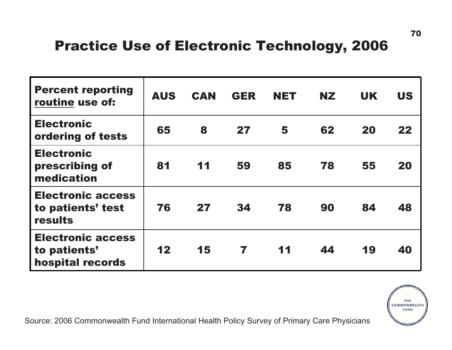### Practice Use of Electronic Technology, 2006

| <b>Percent reporting</b><br>routine use of:                  | <b>AUS</b> | <b>CAN</b> | <b>GER</b> | <b>NET</b> | NZ. | <b>UK</b> | <b>US</b> |
|--------------------------------------------------------------|------------|------------|------------|------------|-----|-----------|-----------|
| <b>Electronic</b><br>ordering of tests                       | 65         | 8          | 27         | 5          | 62  | 20        | 22        |
| <b>Electronic</b><br>prescribing of<br>medication            | 81         | 11         | 59         | 85         | 78  | 55        | 20        |
| <b>Electronic access</b><br>to patients' test<br>results     | 76         | 27         | 34         | 78         | 90  | 84        | 48        |
| <b>Electronic access</b><br>to patients'<br>hospital records | 12         | 15         | 7          | 11         | 44  | 19        | 40        |

Source: 2006 Commonwealth Fund International Health Policy Survey of Primary Care Physicians

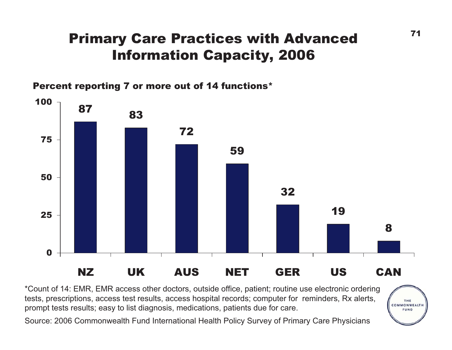## Primary Care Practices with Advanced Information Capacity, 2006

Percent reporting 7 or more out of 14 functions\*



\*Count of 14: EMR, EMR access other doctors, outside office, patient; routine use electronic ordering tests, prescriptions, access test results, access hospital records; computer for reminders, Rx alerts, prompt tests results; easy to list diagnosis, medications, patients due for care.

Source: 2006 Commonwealth Fund International Health Policy Survey of Primary Care Physicians

THE COMMONWEALTH FUND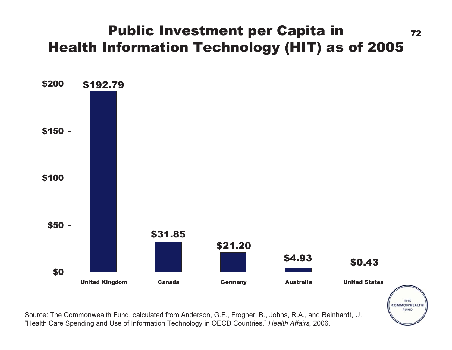### Public Investment per Capita in  $_{72}$ Health Information Technology (HIT) as of 2005



Source: The Commonwealth Fund, calculated from Anderson, G.F., Frogner, B., Johns, R.A., and Reinhardt, U. "Health Care Spending and Use of Information Technology in OECD Countries," *Health Affairs,* 2006.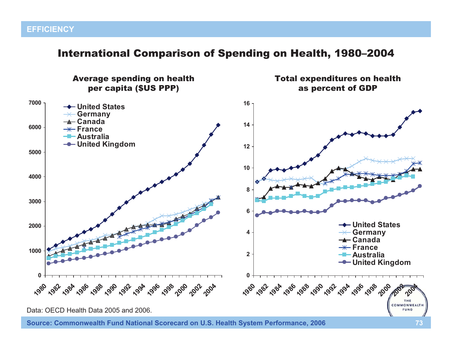#### International Comparison of Spending on Health, 1980–2004

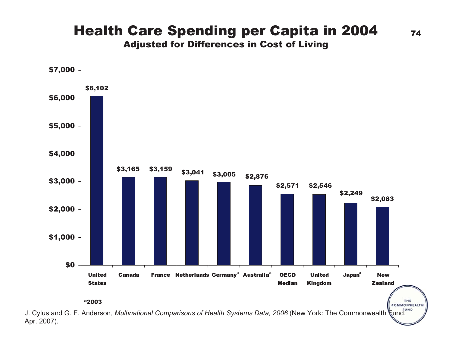#### Health Care Spending per Capita in 2004  $_{74}$ Adjusted for Differences in Cost of Living



Apr. 2007).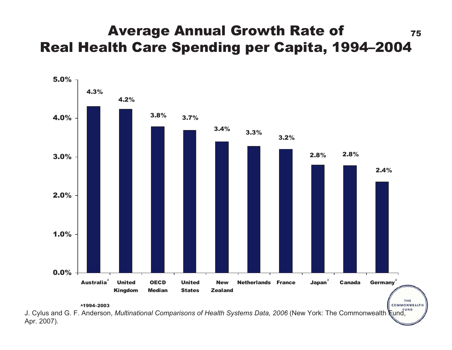### Average Annual Growth Rate of  $1/5$ Real Health Care Spending per Capita, 1994–2004



J. Cylus and G. F. Anderson, *Multinational Comparisons of Health Systems Data, 2006* (New York: The Commonwealth Fund, Apr. 2007).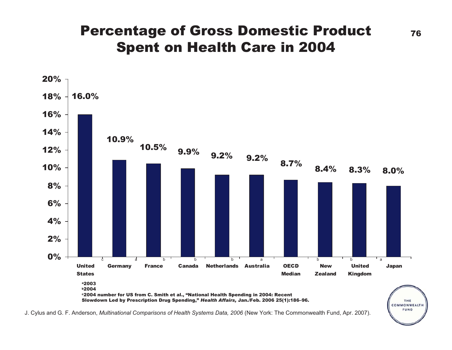### Percentage of Gross Domestic Product  $_{76}$ Spent on Health Care in 2004



J. Cylus and G. F. Anderson, *Multinational Comparisons of Health Systems Data, 2006* (New York: The Commonwealth Fund, Apr. 2007).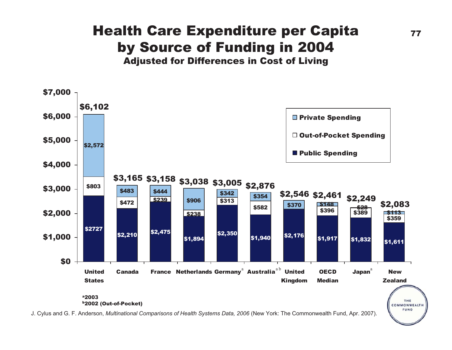# Health Care Expenditure per Capita  $\frac{77}{27}$ by Source of Funding in 2004





J. Cylus and G. F. Anderson, *Multinational Comparisons of Health Systems Data, 2006* (New York: The Commonwealth Fund, Apr. 2007).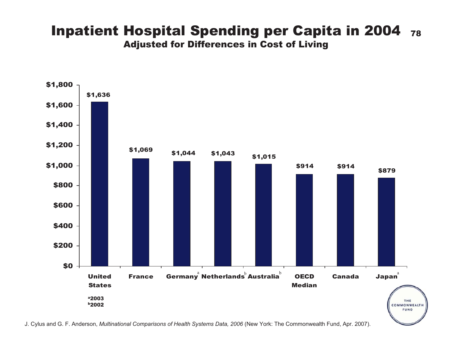#### **Inpatient Hospital Spending per Capita in 2004 78** Adjusted for Differences in Cost of Living



J. Cylus and G. F. Anderson, *Multinational Comparisons of Health Systems Data, 2006* (New York: The Commonwealth Fund, Apr. 2007).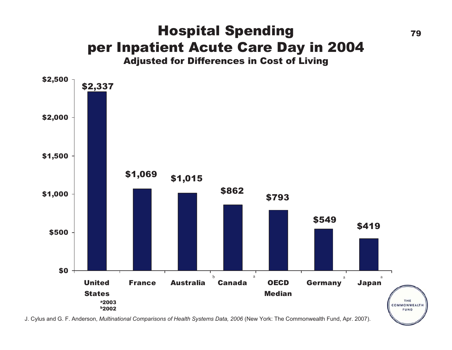#### Hospital Spending 79 per Inpatient Acute Care Day in 2004 Adjusted for Differences in Cost of Living



J. Cylus and G. F. Anderson, *Multinational Comparisons of Health Systems Data, 2006* (New York: The Commonwealth Fund, Apr. 2007).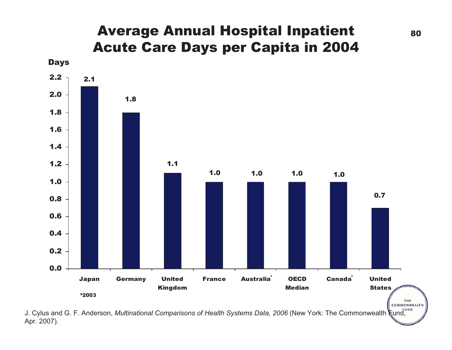#### Average Annual Hospital Inpatient 80 Acute Care Days per Capita in 2004



J. Cylus and G. F. Anderson, *Multinational Comparisons of Health Systems Data, 2006* (New York: The Commonwealth  $\frac{1}{k}$ und, Apr. 2007).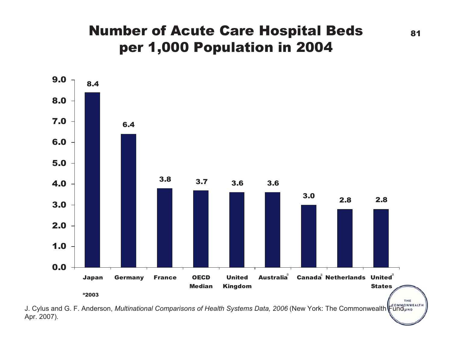# **Number of Acute Care Hospital Beds** 81 per 1,000 Population in 2004



J. Cylus and G. F. Anderson, *Multinational Comparisons of Health Systems Data, 2006* (New York: The Commonwealth Fund, No Apr. 2007).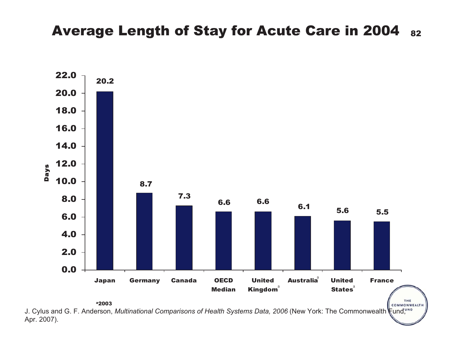#### Average Length of Stay for Acute Care in 2004 82



J. Cylus and G. F. Anderson, *Multinational Comparisons of Health Systems Data, 2006* (New York: The Commonwealth Fund,<sup>we</sup> Apr. 2007).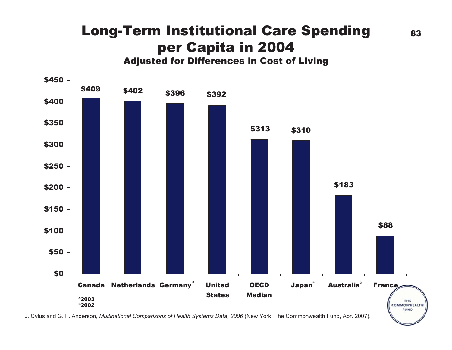#### Long-Term Institutional Care Spending per Capita in 2004 Adjusted for Differences in Cost of Living



J. Cylus and G. F. Anderson, *Multinational Comparisons of Health Systems Data, 2006* (New York: The Commonwealth Fund, Apr. 2007).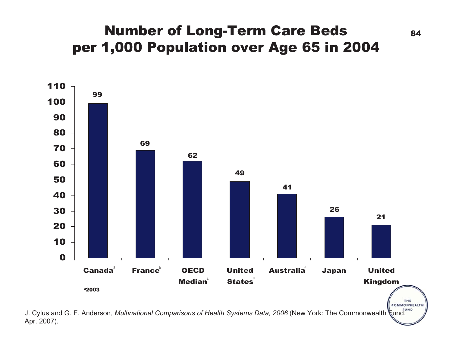# Number of Long-Term Care Beds 84 per 1,000 Population over Age 65 in 2004

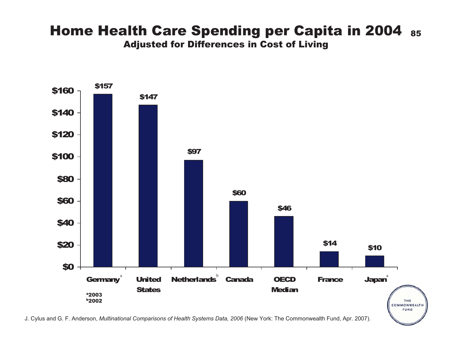#### Home Health Care Spending per Capita in 2004 85 Adjusted for Differences in Cost of Living

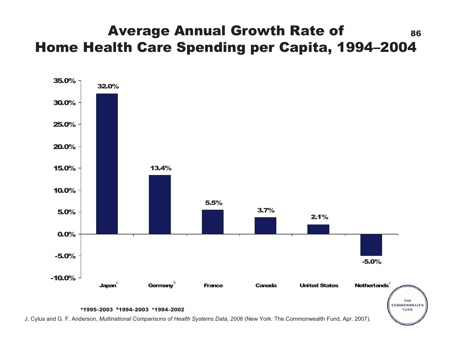### Average Annual Growth Rate of 86 Home Health Care Spending per Capita, 1994–2004

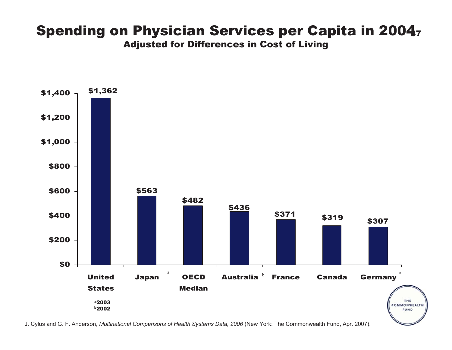#### Spending on Physician Services per Capita in 20047 Adjusted for Differences in Cost of Living

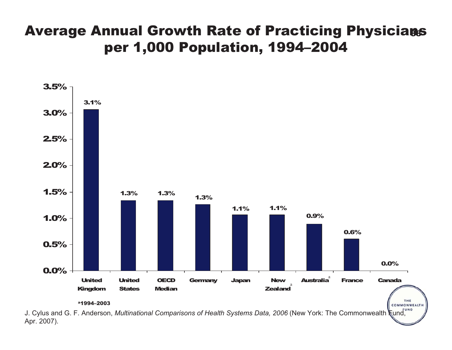## Average Annual Growth Rate of Practicing Physicians per 1,000 Population, 1994–2004



Apr. 2007).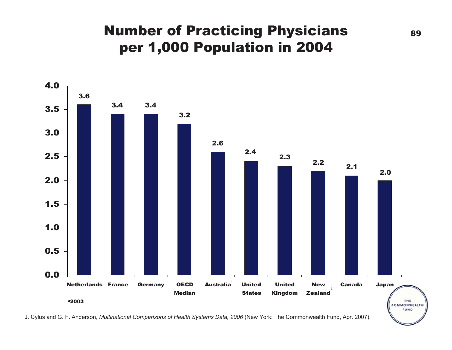## **Number of Practicing Physicians** 89 per 1,000 Population in 2004



J. Cylus and G. F. Anderson, *Multinational Comparisons of Health Systems Data, 2006* (New York: The Commonwealth Fund, Apr. 2007).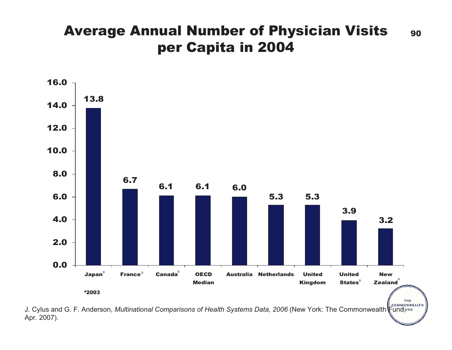#### Average Annual Number of Physician Visits 90 per Capita in 2004



J. Cylus and G. F. Anderson, *Multinational Comparisons of Health Systems Data, 2006* (New York: The Commonwealth Fund, we Apr. 2007).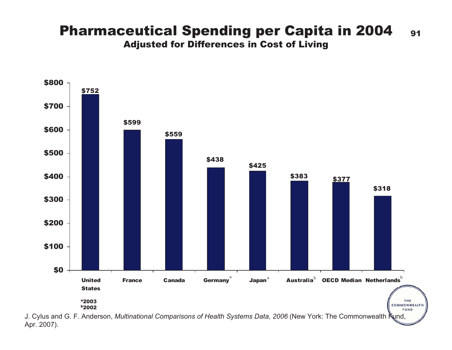#### Pharmaceutical Spending per Capita in 2004 91 Adjusted for Differences in Cost of Living



Apr. 2007).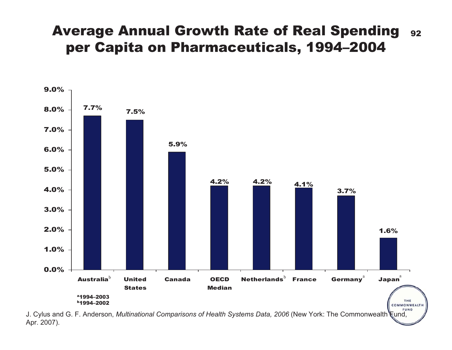#### Average Annual Growth Rate of Real Spending 92 per Capita on Pharmaceuticals, 1994–2004



Apr. 2007).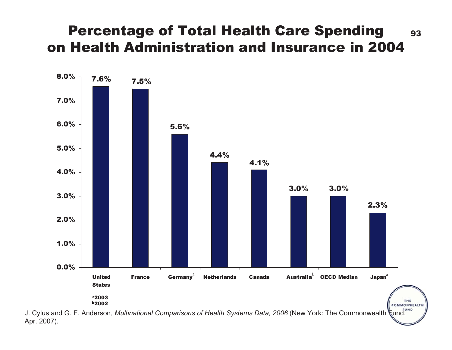#### Percentage of Total Health Care Spending 93 on Health Administration and Insurance in 2004



Apr. 2007).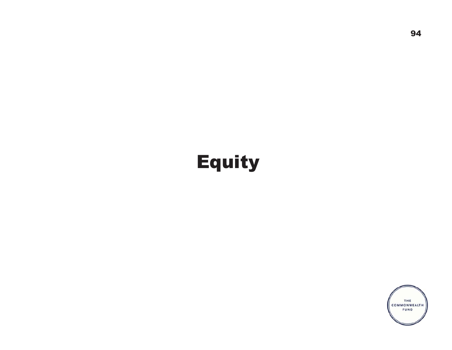# Equity

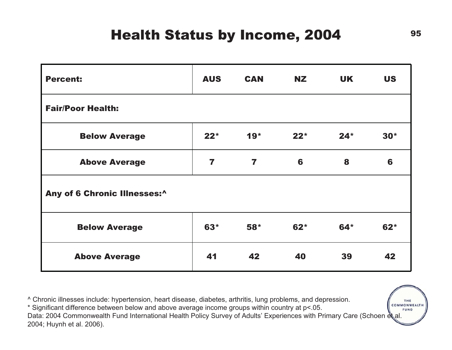# Health Status by Income, 2004 95

| <b>Percent:</b>              | <b>AUS</b> | <b>CAN</b>              | <b>NZ</b> | <b>UK</b> | <b>US</b> |  |  |  |
|------------------------------|------------|-------------------------|-----------|-----------|-----------|--|--|--|
| <b>Fair/Poor Health:</b>     |            |                         |           |           |           |  |  |  |
| <b>Below Average</b>         | $22*$      | $19*$                   | $22*$     | $24*$     | $30*$     |  |  |  |
| <b>Above Average</b>         | 7          | $\overline{\mathbf{r}}$ | 6         | 8         | 6         |  |  |  |
| Any of 6 Chronic Illnesses:^ |            |                         |           |           |           |  |  |  |
| <b>Below Average</b>         | $63*$      | $58*$                   | $62*$     | $64*$     | $62*$     |  |  |  |
| <b>Above Average</b>         | 41         | 42                      | 40        | 39        | 42        |  |  |  |

^ Chronic illnesses include: hypertension, heart disease, diabetes, arthritis, lung problems, and depression.

COMMONWEALTH \* Significant difference between below and above average income groups within country at p<.05. **FUND** Data: 2004 Commonwealth Fund International Health Policy Survey of Adults' Experiences with Primary Care (Schoen et al. 2004; Huynh et al. 2006).

THE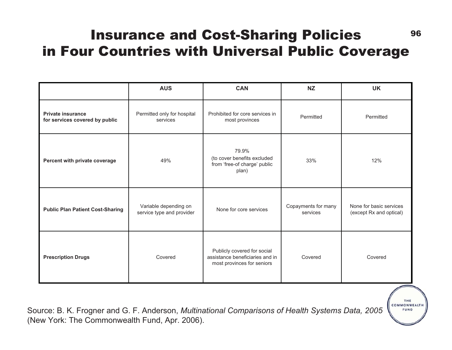#### 96 Insurance and Cost-Sharing Policies in Four Countries with Universal Public Coverage

|                                                            | <b>AUS</b>                                         | <b>CAN</b>                                                                                   | <b>NZ</b>                       | <b>UK</b>                                          |
|------------------------------------------------------------|----------------------------------------------------|----------------------------------------------------------------------------------------------|---------------------------------|----------------------------------------------------|
| <b>Private insurance</b><br>for services covered by public | Permitted only for hospital<br>services            | Prohibited for core services in<br>most provinces                                            | Permitted                       | Permitted                                          |
| Percent with private coverage                              | 49%                                                | 79.9%<br>(to cover benefits excluded<br>from 'free-of charge' public<br>plan)                | 33%                             | 12%                                                |
| <b>Public Plan Patient Cost-Sharing</b>                    | Variable depending on<br>service type and provider | None for core services                                                                       | Copayments for many<br>services | None for basic services<br>(except Rx and optical) |
| <b>Prescription Drugs</b>                                  | Covered                                            | Publicly covered for social<br>assistance beneficiaries and in<br>most provinces for seniors | Covered                         | Covered                                            |

Source: B. K. Frogner and G. F. Anderson, *Multinational Comparisons of Health Systems Data, 2005* (New York: The Commonwealth Fund, Apr. 2006).

THE COMMONWEALTH FUND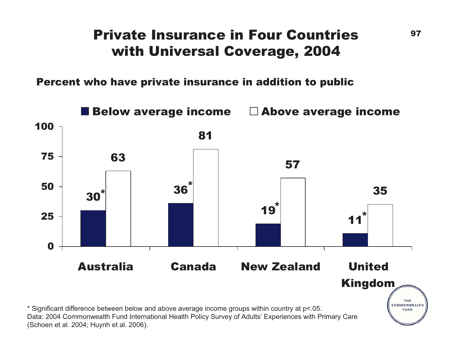### Private Insurance in Four Countries  $10^{97}$ with Universal Coverage, 2004

Percent who have private insurance in addition to public

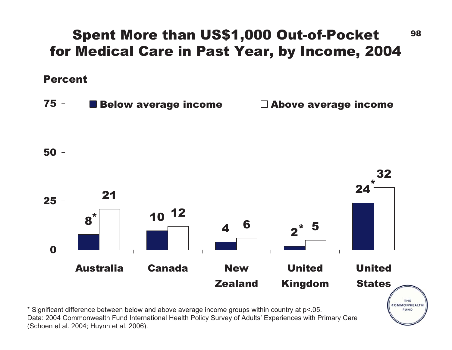# Spent More than US\$1,000 Out-of-Pocket 98 for Medical Care in Past Year, by Income, 2004

Percent



\* Significant difference between below and above average income groups within country at p<.05. Data: 2004 Commonwealth Fund International Health Policy Survey of Adults' Experiences with Primary Care (Schoen et al. 2004; Hu ynh et al. 2006).

FUND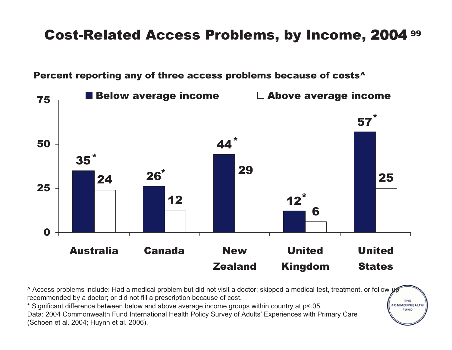#### 99 Cost-Related Access Problems, by Income, 2004



Percent reporting any of three access problems because of costs<sup>^</sup>

^ Access problems include: Had a medical problem but did not visit a doctor; skipped a medical test, treatment, or follow-up recommended by a doctor; or did not fill a prescription because of cost. COMMONWEALTH

THE

FUND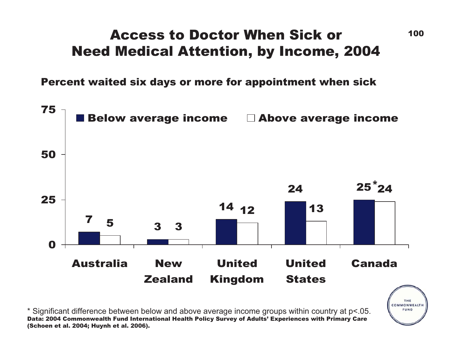# Access to Doctor When Sick orNeed Medical Attention, by Income, 2004

Percent waited six days or more for appointment when sick



\* Significant difference between below and above average income groups within country at p<.05. Data: 2004 Commonwealth Fund International Health Policy Survey of Adults' Experiences with Primary Care (Schoen et al. 2004; Huynh et al. 2006).

THE COMMONWEALTH **FUND**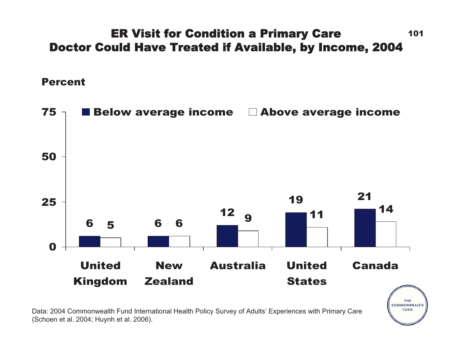#### 101ER Visit for Condition a Primary Care Doctor Could Have Treated if Available, by Income, 2004

Percent



COMMONWEALTH FUND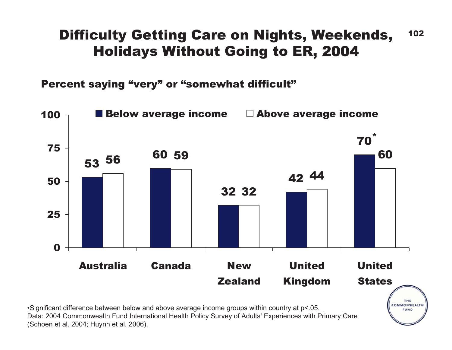# Difficulty Getting Care on Nights, Weekends, 102 Holidays Without Going to ER, 2 0 0 4

Percent saying "very" or "somewhat difficult"



Data: 2004 Commonwealth Fund International Health Policy Survey of Adults' Experiences with Primary Care (Schoen et al. 2004; Huynh et al. 2006).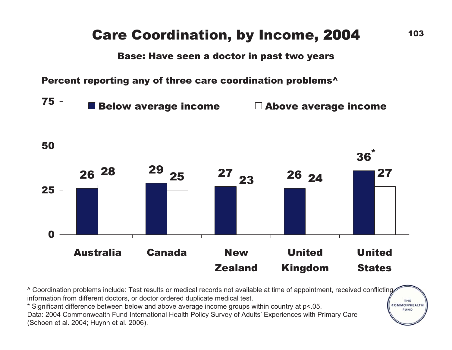# Care Coordination, by Income, 2004 103

Base: Have seen a doctor in past two years

Percent reporting any of three care coordination problems^



^ Coordination problems include: Test results or medical records not available at time of appointment, received conflicting information from different doctors, or doctor ordered duplicate medical test.

\* Significant difference between below and above average income groups within country at p<.05. Data: 2004 Commonwealth Fund International Health Policy Survey of Adults' Experiences with Primary Care (Schoen et al. 2004; Huynh et al. 2006).

THE COMMONWEALTH **FUND**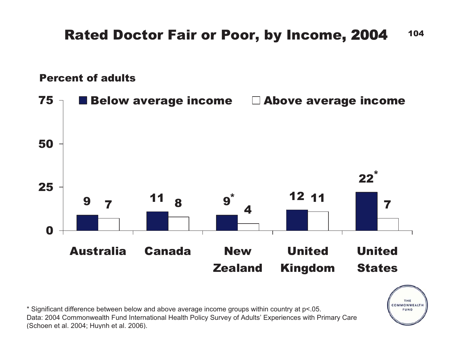#### 104Rated Doctor Fair or Poor, by Income, 2004

Percent of adults



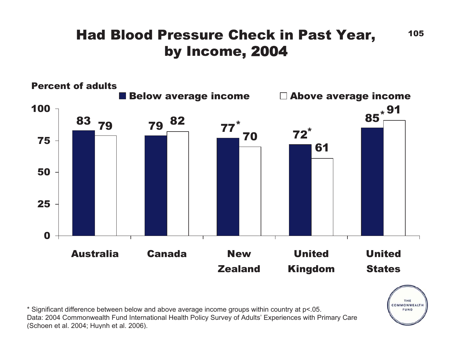# Had Blood Pressure Check in Past Year, 105 by Income, 2 0 0 4



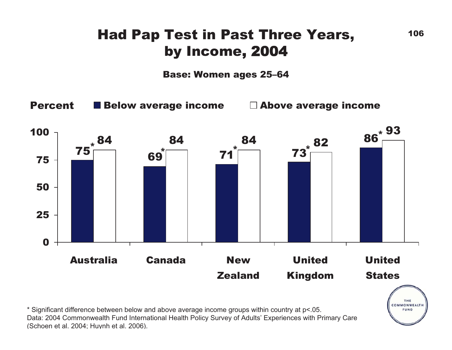# Had Pap Test in Past Three Years, 106 by Income, 2 0 0 4

Base: Women ages 25–64

Percent

 $\blacksquare$  Below average income  $\blacksquare$  Above average income

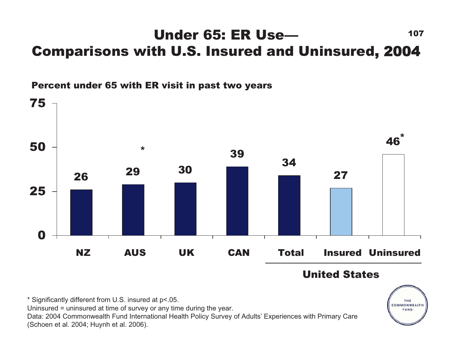#### Under 65: ER Use—— **107** Comparisons with U.S. Insured and Uninsured, 2004





United States

THE COMMONWEALTH FUND

\* Significantly different from U.S. insured at p<.05.

Uninsured = uninsured at time of survey or any time during the year.

Data: 2004 Commonwealth Fund International Health Policy Survey of Adults' Experiences with Primary Care (Schoen et al. 2004; Huynh et al. 2006).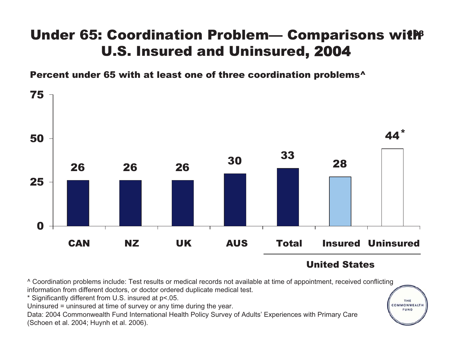# Under 65: Coordination Problem— Comparisons with U.S. Insured and Uninsured, 2 0 0 4

Percent under 65 with at least one of three coordination problems^



#### United States

THE COMMONWEALTH FUND

^ Coordination problems include: Test results or medical records not available at time of appointment, received conflicting information from different doctors, or doctor ordered duplicate medical test.

\* Significantly different from U.S. insured at p<.05.

Uninsured = uninsured at time of survey or any time during the year.

Data: 2004 Commonwealth Fund International Health Policy Survey of Adults' Experiences with Primary Care (Schoen et al. 2004; Huynh et al. 2006).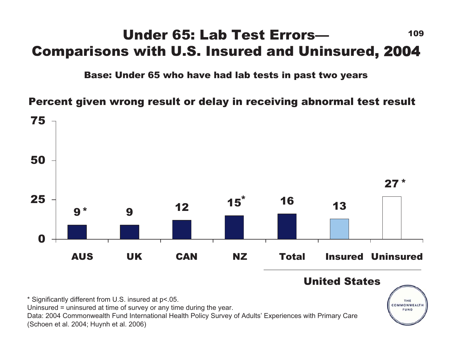# Under 65: Lab Test Errors— <sup>109</sup> Comparisons with U.S. Insured and Uninsured, 2 0 0 4

Base: Under 65 who have had lab tests in past two years

Percent given wrong result or delay in receiving abnormal test result



United States\* Significantly different from U.S. insured at p<.05. THE COMMONWEALTH Uninsured = uninsured at time of survey or any time during the year. FUND Data: 2004 Commonwealth Fund International Health Policy Survey of Adults' Experiences with Primary Care (Schoen et al. 2004; Huynh et al. 2006)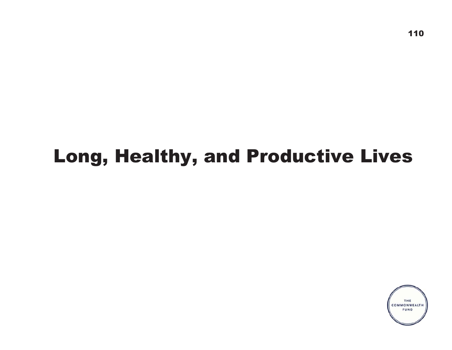# Long, Healthy, and Productive Lives

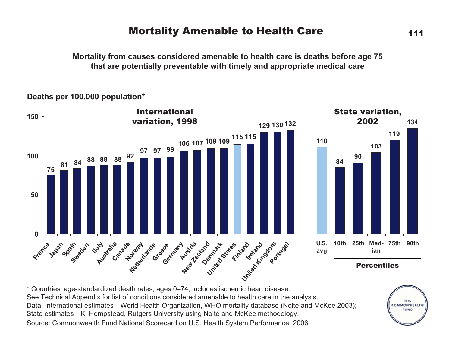#### Mortality Amenable to Health Care 111

**Mortality from causes considered amenable to health care is deaths before age 75 that are potentially preventable with timely and appropriate medical care**

#### **Deaths per 100,000 population\***



\* Countries' age-standardized death rates, ages 0–74; includes ischemic heart disease. See Technical Appendix for list of conditions considered amenable to health care in the analysis. Data: International estimates—World Health Organization, WHO mortality database (Nolte and McKee 2003); State estimates—K. Hempstead, Rutgers University using Nolte and McKee methodology. Source: Commonwealth Fund National Scorecard on U.S. Health System Performance, 2006



**103**

**ian**

**119**

**134**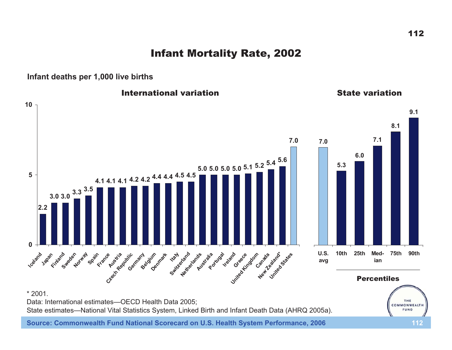Infant Mortality Rate, 2002

**Infant deaths per 1,000 live births**

**International variation** The State variation **109.18.17.17.07.06.0 5.0 5.0 5.0 5.0 5.1 5.2 5.4 5.6 5.3 54.1 4.1 4.1 4.2 4.2 4.4 4.4 4.5 4.5 3.0 3.0 3.3 3.5 2.20Iceland** Japan City and Sweden Brandon Clerk Registric sering of Joseph River Hall Asher and Develope Asher Grand Banks States **10th 25th Med- 75th 90th U.S. avg ian**Percentiles\* 2001.Data: International estimates—OECD Health Data 2005; THE COMMONWEALTH

State estimates—National Vital Statistics System, Linked Birth and Infant Death Data (AHRQ 2005a).

**Source: Commonwealth Fund National Scorecard on U.S. Health System Performance, 2006 112**

FUND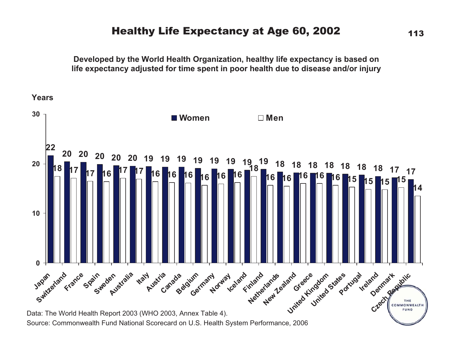#### Healthy Life Expectancy at Age 60, 2002 113

**Developed by the World Health Organization, healthy life expectancy is based on life expectancy adjusted for time spent in poor health due to disease and/or injury**

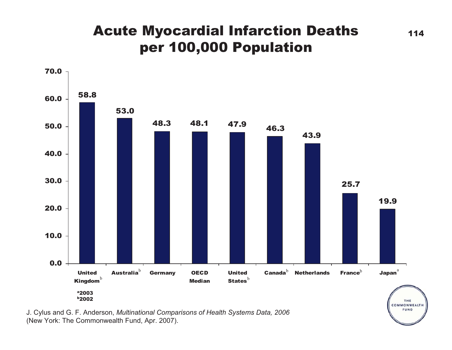# **Acute Myocardial Infarction Deaths** 114 per 100,000 Population



J. Cylus and G. F. Anderson, *Multinational Comparisons of Health Systems Data, 2006* (New York: The Commonwealth Fund, Apr. 2007).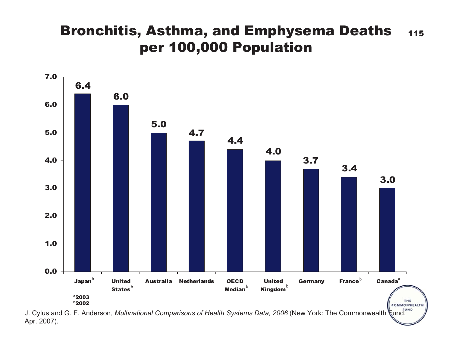# Bronchitis, Asthma, and Emphysema Deaths 115 per 100,000 Population



J. Cylus and G. F. Anderson, *Multinational Comparisons of Health Systems Data, 2006* (New York: The Commonwealth  $\frac{1}{k}$ und, Apr. 2007).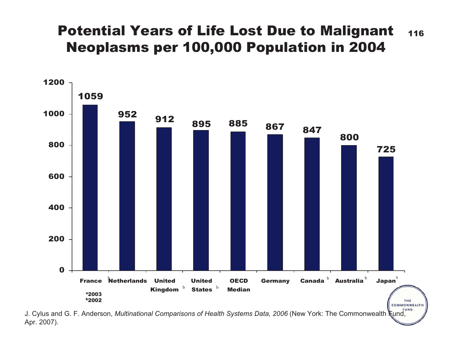### Potential Years of Life Lost Due to Malignant 116 Neoplasms per 100,000 Population in 2004



J. Cylus and G. F. Anderson, *Multinational Comparisons of Health Systems Data, 2006* (New York: The Commonwealth Kund, Apr. 2007).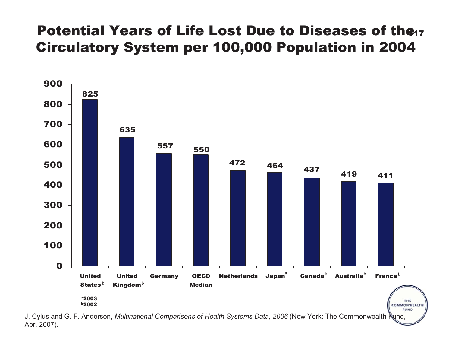# Potential Years of Life Lost Due to Diseases of the Circulatory System per 100,000 Population in 2004



J. Cylus and G. F. Anderson, *Multinational Comparisons of Health Systems Data, 2006* (New York: The Commonwealth Fund, Apr. 2007).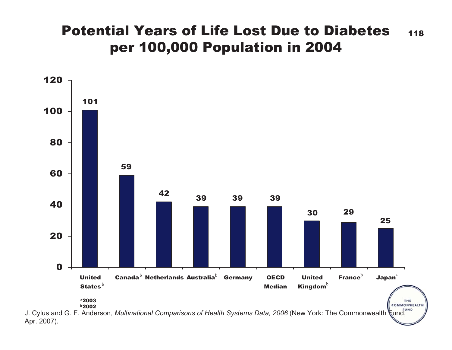### Potential Years of Life Lost Due to Diabetes 118 per 100,000 Population in 2004



Apr. 2007).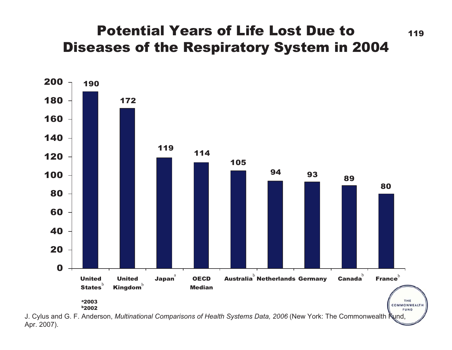### Potential Years of Life Lost Due to  $119$ Diseases of the Respiratory System in 2004



J. Cylus and G. F. Anderson, *Multinational Comparisons of Health Systems Data, 2006* (New York: The Commonwealth Fund, Apr. 2007).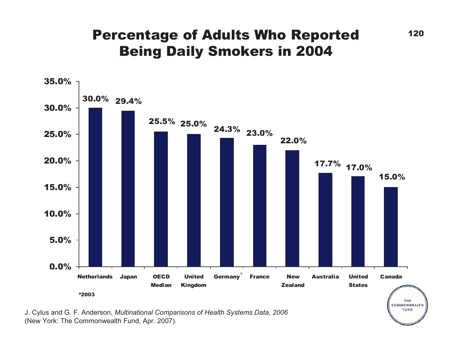# Percentage of Adults Who Reported 120 Being Daily Smokers in 2004



J. Cylus and G. F. Anderson, *Multinational Comparisons of Health Systems Data, 2006* (New York: The Commonwealth Fund, Apr. 2007).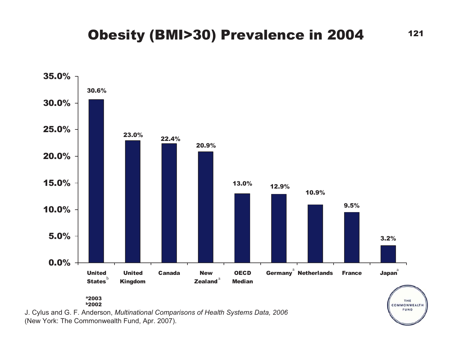#### Obesity (BMI>30) Prevalence in 2004 121



J. Cylus and G. F. Anderson, *Multinational Comparisons of Health Systems Data, 2006* (New York: The Commonwealth Fund, Apr. 2007).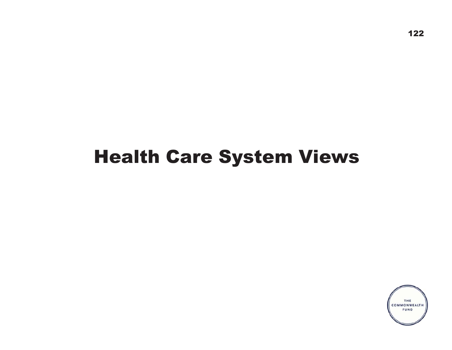# Health Care System Views

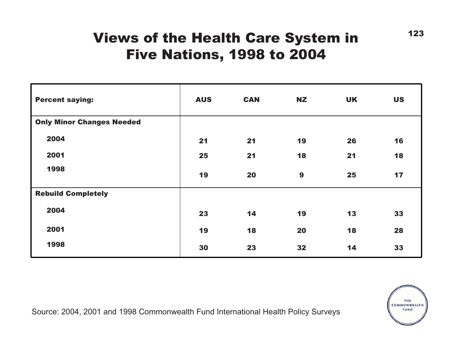### Views of the Health Care System in Five Nations, 1998 to 2004

| <b>Percent saying:</b>           | <b>AUS</b> | <b>CAN</b> | <b>NZ</b>        | <b>UK</b> | <b>US</b> |
|----------------------------------|------------|------------|------------------|-----------|-----------|
| <b>Only Minor Changes Needed</b> |            |            |                  |           |           |
| 2004                             | 21         | 21         | 19               | 26        | 16        |
| 2001                             | 25         | 21         | 18               | 21        | 18        |
| 1998                             | 19         | 20         | $\boldsymbol{9}$ | 25        | 17        |
| <b>Rebuild Completely</b>        |            |            |                  |           |           |
| 2004                             | 23         | 14         | 19               | 13        | 33        |
| 2001                             | 19         | 18         | 20               | 18        | 28        |
| 1998                             | 30         | 23         | 32               | 14        | 33        |



123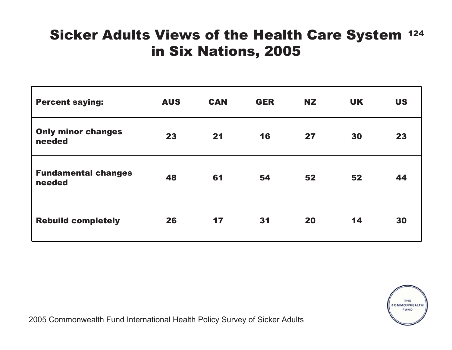# Sicker Adults Views of the Health Care System <sup>124</sup> in Six Nations, 2005

| <b>Percent saying:</b>               | <b>AUS</b> | <b>CAN</b> | <b>GER</b> | <b>NZ</b> | <b>UK</b> | <b>US</b> |
|--------------------------------------|------------|------------|------------|-----------|-----------|-----------|
| <b>Only minor changes</b><br>needed  | 23         | 21         | 16         | 27        | 30        | 23        |
| <b>Fundamental changes</b><br>needed | 48         | 61         | 54         | 52        | 52        | 44        |
| <b>Rebuild completely</b>            | 26         | 17         | 31         | 20        | 14        | 30        |



2005 Commonwealth Fund International Health Policy Survey of Sicker Adults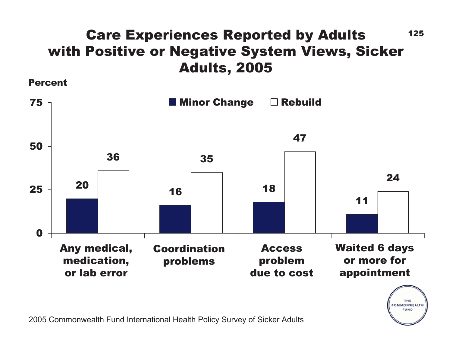# Care Experiences Reported by Adults 125 with Positive or Negative System Views, Sicker Adults, 2005

Percent





2005 Commonwealth Fund International Health Policy Survey of Sicker Adults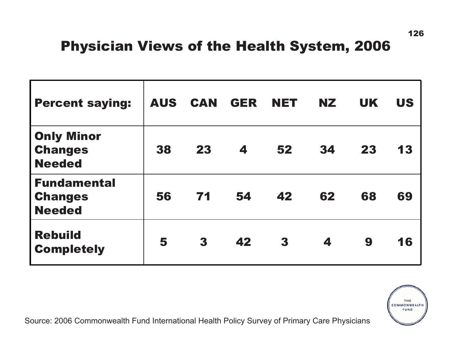# Physician Views of the Health System, 2006

| <b>Percent saying:</b>                                | <b>AUS</b> | <b>CAN</b> | <b>GER</b> | <b>NET</b> | <b>NZ</b> | <b>UK</b> | <b>US</b> |
|-------------------------------------------------------|------------|------------|------------|------------|-----------|-----------|-----------|
| <b>Only Minor</b><br><b>Changes</b><br><b>Needed</b>  | 38         | 23         | 4          | 52         | 34        | 23        | 13        |
| <b>Fundamental</b><br><b>Changes</b><br><b>Needed</b> | 56         | 71         | 54         | 42         | 62        | 68        | 69        |
| <b>Rebuild</b><br><b>Completely</b>                   | 5          | 3          | 42         | 3          | 4         | 9         | 16        |

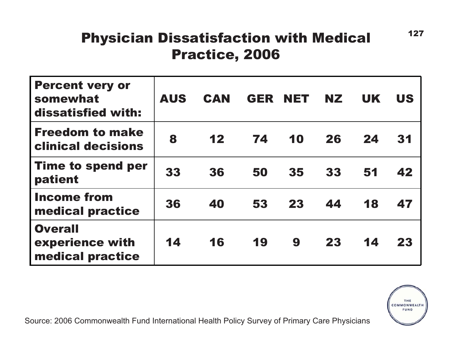# Physician Dissatisfaction with Medical Practice, 2006

| <b>Percent very or</b><br>somewhat<br>dissatisfied with: | <b>AUS</b> | <b>CAN</b> | GER | <b>NET</b> | <b>NZ</b> | <b>UK</b> | <b>US</b> |
|----------------------------------------------------------|------------|------------|-----|------------|-----------|-----------|-----------|
| <b>Freedom to make</b><br><b>clinical decisions</b>      | 8          | 12         | 74  | 10         | 26        | 24        | 31        |
| <b>Time to spend per</b><br>patient                      | 33         | 36         | 50  | 35         | 33        | 51        | 42        |
| <b>Income from</b><br>medical practice                   | 36         | 40         | 53  | 23         | 44        | 18        | 47        |
| <b>Overall</b><br>experience with<br>medical practice    | 14         | 16         | 19  | 9          | 23        | 14        | 23        |



127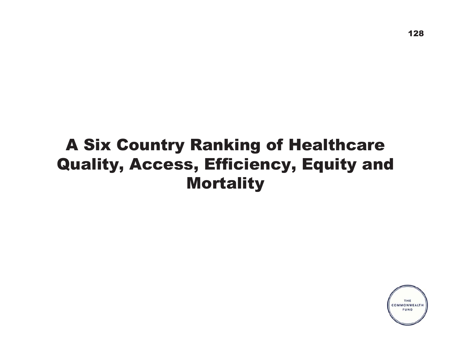# A Six Country Ranking of Healthcare Quality, Access, Efficiency, Equity and **Mortality**

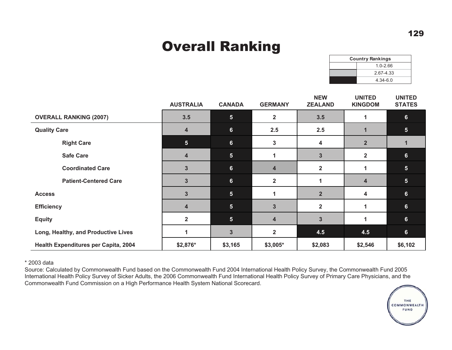# Overall Ranking

| <b>Country Rankings</b> |              |  |  |  |  |
|-------------------------|--------------|--|--|--|--|
|                         | $1.0 - 2.66$ |  |  |  |  |
|                         | 2.67-4.33    |  |  |  |  |
|                         | $4.34 - 6.0$ |  |  |  |  |

|                                      | <b>AUSTRALIA</b> | <b>CANADA</b>           | <b>GERMANY</b>          | <b>NEW</b><br><b>ZEALAND</b> | <b>UNITED</b><br><b>KINGDOM</b> | <b>UNITED</b><br><b>STATES</b> |
|--------------------------------------|------------------|-------------------------|-------------------------|------------------------------|---------------------------------|--------------------------------|
| <b>OVERALL RANKING (2007)</b>        | 3.5              | 5 <sub>5</sub>          | $\overline{2}$          | 3.5                          | 1                               | 6 <sup>1</sup>                 |
| <b>Quality Care</b>                  | $\overline{4}$   | $6\phantom{a}$          | 2.5                     | 2.5                          | 1                               | 5 <sub>5</sub>                 |
| <b>Right Care</b>                    | 5 <sub>5</sub>   | $6\phantom{a}$          | $\mathbf{3}$            | 4                            | $\overline{2}$                  | 1                              |
| <b>Safe Care</b>                     | $\overline{4}$   | 5 <sup>5</sup>          | 1                       | $\overline{3}$               | $\overline{2}$                  | $6\phantom{1}$                 |
| <b>Coordinated Care</b>              | 3                | $6\phantom{a}$          | $\overline{\mathbf{4}}$ | $\mathbf{2}$                 | 1                               | $5\phantom{.}$                 |
| <b>Patient-Centered Care</b>         | $\overline{3}$   | $6\phantom{a}$          | $\overline{2}$          |                              | $\overline{\mathbf{4}}$         | 5 <sup>5</sup>                 |
| <b>Access</b>                        | $\overline{3}$   | $5\phantom{.0}$         | 1                       | 2 <sup>2</sup>               | 4                               | 6                              |
| <b>Efficiency</b>                    | $\overline{4}$   | 5 <sub>5</sub>          | $\overline{\mathbf{3}}$ | $\overline{2}$               | 1                               | 6                              |
| <b>Equity</b>                        | $\overline{2}$   | 5 <sub>5</sub>          | $\overline{\mathbf{4}}$ | $\overline{\mathbf{3}}$      |                                 | 6                              |
| Long, Healthy, and Productive Lives  |                  | $\overline{\mathbf{3}}$ | $\overline{2}$          | 4.5                          | 4.5                             | 6                              |
| Health Expenditures per Capita, 2004 | \$2,876*         | \$3,165                 | \$3,005*                | \$2,083                      | \$2,546                         | \$6,102                        |

\* 2003 data

 Source: Calculated by Commonwealth Fund based on the Commonwealth Fund 2004 International Health Policy Survey, the Commonwealth Fund 2005 International Health Policy Survey of Sicker Adults, the 2006 Commonwealth Fund International Health Policy Survey of Primary Care Physicians, and the Commonwealth Fund Commission on a High Performance Health System National Scorecard.